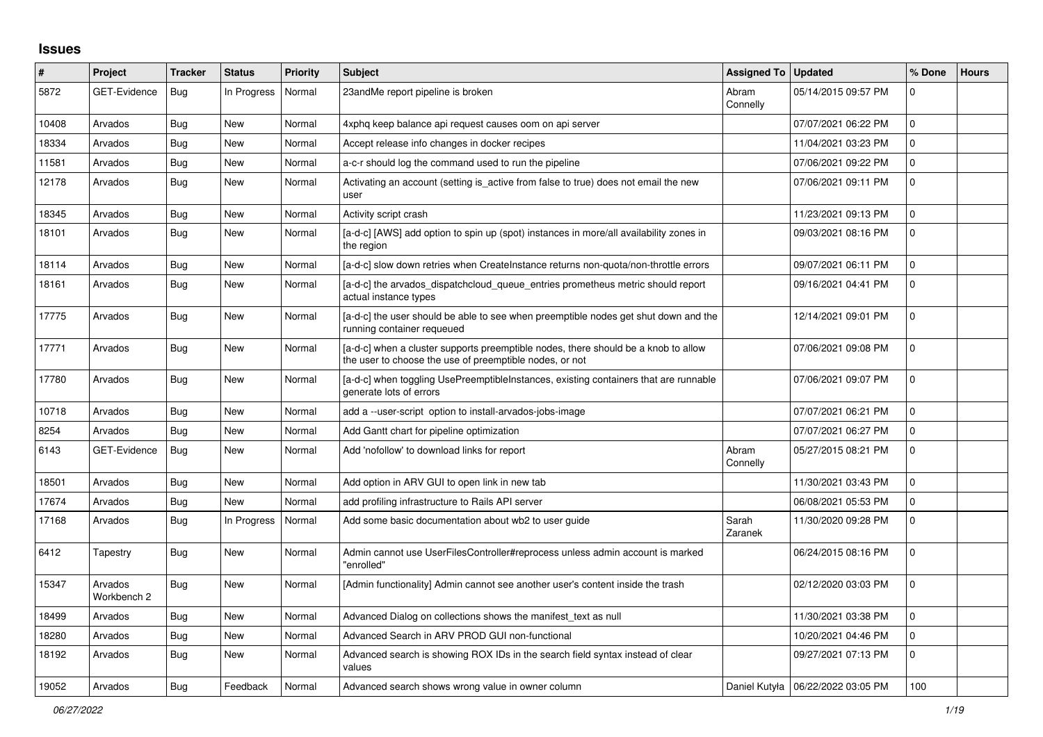## **Issues**

| #     | Project                | <b>Tracker</b> | <b>Status</b> | <b>Priority</b> | <b>Subject</b>                                                                                                                                | Assigned To   Updated |                                     | % Done              | <b>Hours</b> |
|-------|------------------------|----------------|---------------|-----------------|-----------------------------------------------------------------------------------------------------------------------------------------------|-----------------------|-------------------------------------|---------------------|--------------|
| 5872  | <b>GET-Evidence</b>    | Bug            | In Progress   | Normal          | 23andMe report pipeline is broken                                                                                                             | Abram<br>Connelly     | 05/14/2015 09:57 PM                 | $\mathbf 0$         |              |
| 10408 | Arvados                | Bug            | New           | Normal          | 4xphq keep balance api request causes oom on api server                                                                                       |                       | 07/07/2021 06:22 PM                 | $\mathbf 0$         |              |
| 18334 | Arvados                | Bug            | <b>New</b>    | Normal          | Accept release info changes in docker recipes                                                                                                 |                       | 11/04/2021 03:23 PM                 | $\mathbf 0$         |              |
| 11581 | Arvados                | Bug            | <b>New</b>    | Normal          | a-c-r should log the command used to run the pipeline                                                                                         |                       | 07/06/2021 09:22 PM                 | $\overline{0}$      |              |
| 12178 | Arvados                | Bug            | New           | Normal          | Activating an account (setting is active from false to true) does not email the new<br>user                                                   |                       | 07/06/2021 09:11 PM                 | 0                   |              |
| 18345 | Arvados                | Bug            | <b>New</b>    | Normal          | Activity script crash                                                                                                                         |                       | 11/23/2021 09:13 PM                 | $\mathbf 0$         |              |
| 18101 | Arvados                | <b>Bug</b>     | New           | Normal          | [a-d-c] [AWS] add option to spin up (spot) instances in more/all availability zones in<br>the region                                          |                       | 09/03/2021 08:16 PM                 | $\overline{0}$      |              |
| 18114 | Arvados                | Bug            | New           | Normal          | [a-d-c] slow down retries when CreateInstance returns non-quota/non-throttle errors                                                           |                       | 09/07/2021 06:11 PM                 | $\mathsf 0$         |              |
| 18161 | Arvados                | <b>Bug</b>     | <b>New</b>    | Normal          | [a-d-c] the arvados_dispatchcloud_queue_entries prometheus metric should report<br>actual instance types                                      |                       | 09/16/2021 04:41 PM                 | $\Omega$            |              |
| 17775 | Arvados                | Bug            | <b>New</b>    | Normal          | [a-d-c] the user should be able to see when preemptible nodes get shut down and the<br>running container requeued                             |                       | 12/14/2021 09:01 PM                 | $\Omega$            |              |
| 17771 | Arvados                | Bug            | <b>New</b>    | Normal          | [a-d-c] when a cluster supports preemptible nodes, there should be a knob to allow<br>the user to choose the use of preemptible nodes, or not |                       | 07/06/2021 09:08 PM                 | $\mathbf 0$         |              |
| 17780 | Arvados                | Bug            | <b>New</b>    | Normal          | [a-d-c] when toggling UsePreemptibleInstances, existing containers that are runnable<br>generate lots of errors                               |                       | 07/06/2021 09:07 PM                 | $\overline{0}$      |              |
| 10718 | Arvados                | Bug            | New           | Normal          | add a --user-script option to install-arvados-jobs-image                                                                                      |                       | 07/07/2021 06:21 PM                 | $\mathsf{O}\xspace$ |              |
| 8254  | Arvados                | Bug            | <b>New</b>    | Normal          | Add Gantt chart for pipeline optimization                                                                                                     |                       | 07/07/2021 06:27 PM                 | $\overline{0}$      |              |
| 6143  | GET-Evidence           | <b>Bug</b>     | <b>New</b>    | Normal          | Add 'nofollow' to download links for report                                                                                                   | Abram<br>Connelly     | 05/27/2015 08:21 PM                 | $\Omega$            |              |
| 18501 | Arvados                | Bug            | <b>New</b>    | Normal          | Add option in ARV GUI to open link in new tab                                                                                                 |                       | 11/30/2021 03:43 PM                 | $\overline{0}$      |              |
| 17674 | Arvados                | Bug            | <b>New</b>    | Normal          | add profiling infrastructure to Rails API server                                                                                              |                       | 06/08/2021 05:53 PM                 | $\mathbf 0$         |              |
| 17168 | Arvados                | Bug            | In Progress   | Normal          | Add some basic documentation about wb2 to user guide                                                                                          | Sarah<br>Zaranek      | 11/30/2020 09:28 PM                 | $\mathbf 0$         |              |
| 6412  | Tapestry               | Bug            | New           | Normal          | Admin cannot use UserFilesController#reprocess unless admin account is marked<br>"enrolled"                                                   |                       | 06/24/2015 08:16 PM                 | $\overline{0}$      |              |
| 15347 | Arvados<br>Workbench 2 | Bug            | <b>New</b>    | Normal          | [Admin functionality] Admin cannot see another user's content inside the trash                                                                |                       | 02/12/2020 03:03 PM                 | $\mathbf 0$         |              |
| 18499 | Arvados                | Bug            | <b>New</b>    | Normal          | Advanced Dialog on collections shows the manifest text as null                                                                                |                       | 11/30/2021 03:38 PM                 | 0                   |              |
| 18280 | Arvados                | Bug            | <b>New</b>    | Normal          | Advanced Search in ARV PROD GUI non-functional                                                                                                |                       | 10/20/2021 04:46 PM                 | $\mathbf 0$         |              |
| 18192 | Arvados                | Bug            | New           | Normal          | Advanced search is showing ROX IDs in the search field syntax instead of clear<br>values                                                      |                       | 09/27/2021 07:13 PM                 | $\mathbf 0$         |              |
| 19052 | Arvados                | Bug            | Feedback      | Normal          | Advanced search shows wrong value in owner column                                                                                             |                       | Daniel Kutyła   06/22/2022 03:05 PM | 100                 |              |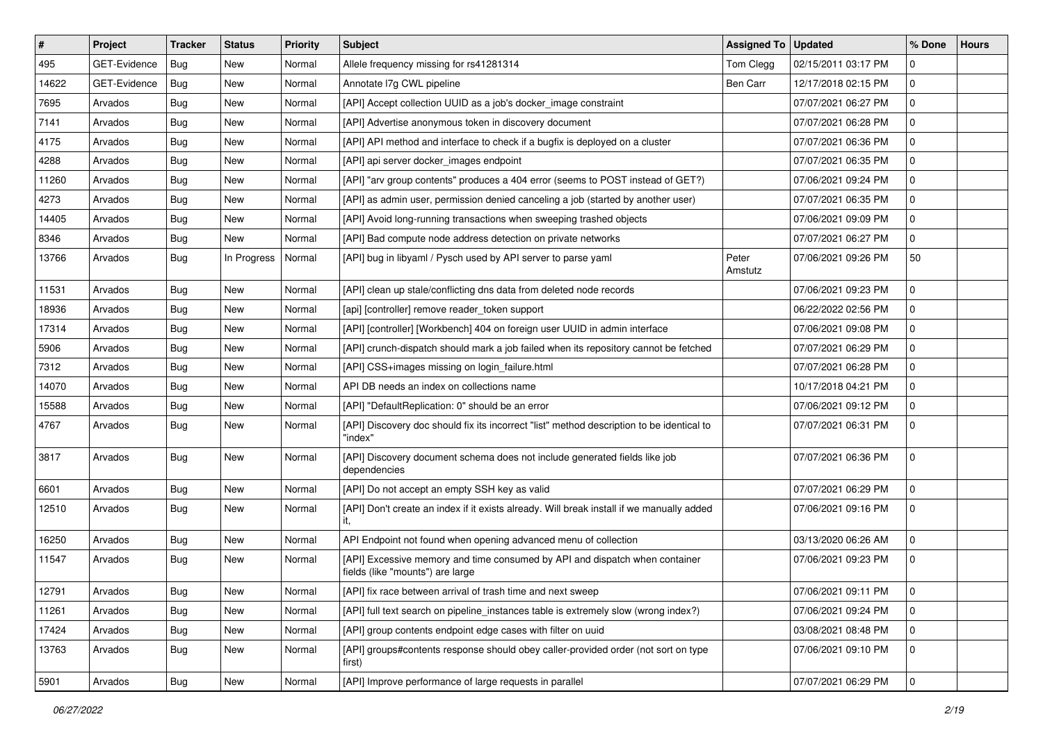| $\#$  | Project      | <b>Tracker</b> | <b>Status</b> | <b>Priority</b> | Subject                                                                                                         | Assigned To      | <b>Updated</b>      | % Done       | <b>Hours</b> |
|-------|--------------|----------------|---------------|-----------------|-----------------------------------------------------------------------------------------------------------------|------------------|---------------------|--------------|--------------|
| 495   | GET-Evidence | Bug            | <b>New</b>    | Normal          | Allele frequency missing for rs41281314                                                                         | Tom Clegg        | 02/15/2011 03:17 PM | $\mathbf 0$  |              |
| 14622 | GET-Evidence | Bug            | <b>New</b>    | Normal          | Annotate I7g CWL pipeline                                                                                       | Ben Carr         | 12/17/2018 02:15 PM | $\mathbf 0$  |              |
| 7695  | Arvados      | <b>Bug</b>     | New           | Normal          | [API] Accept collection UUID as a job's docker image constraint                                                 |                  | 07/07/2021 06:27 PM | $\mathbf 0$  |              |
| 7141  | Arvados      | Bug            | <b>New</b>    | Normal          | [API] Advertise anonymous token in discovery document                                                           |                  | 07/07/2021 06:28 PM | $\mathbf 0$  |              |
| 4175  | Arvados      | <b>Bug</b>     | New           | Normal          | [API] API method and interface to check if a bugfix is deployed on a cluster                                    |                  | 07/07/2021 06:36 PM | $\mathbf 0$  |              |
| 4288  | Arvados      | <b>Bug</b>     | New           | Normal          | [API] api server docker_images endpoint                                                                         |                  | 07/07/2021 06:35 PM | 0            |              |
| 11260 | Arvados      | <b>Bug</b>     | <b>New</b>    | Normal          | [API] "arv group contents" produces a 404 error (seems to POST instead of GET?)                                 |                  | 07/06/2021 09:24 PM | $\mathbf 0$  |              |
| 4273  | Arvados      | <b>Bug</b>     | New           | Normal          | [API] as admin user, permission denied canceling a job (started by another user)                                |                  | 07/07/2021 06:35 PM | $\mathbf 0$  |              |
| 14405 | Arvados      | Bug            | New           | Normal          | [API] Avoid long-running transactions when sweeping trashed objects                                             |                  | 07/06/2021 09:09 PM | $\mathbf 0$  |              |
| 8346  | Arvados      | Bug            | <b>New</b>    | Normal          | [API] Bad compute node address detection on private networks                                                    |                  | 07/07/2021 06:27 PM | $\mathbf 0$  |              |
| 13766 | Arvados      | <b>Bug</b>     | In Progress   | Normal          | [API] bug in libyaml / Pysch used by API server to parse yaml                                                   | Peter<br>Amstutz | 07/06/2021 09:26 PM | 50           |              |
| 11531 | Arvados      | <b>Bug</b>     | New           | Normal          | [API] clean up stale/conflicting dns data from deleted node records                                             |                  | 07/06/2021 09:23 PM | $\mathbf 0$  |              |
| 18936 | Arvados      | <b>Bug</b>     | New           | Normal          | [api] [controller] remove reader_token support                                                                  |                  | 06/22/2022 02:56 PM | $\mathbf 0$  |              |
| 17314 | Arvados      | Bug            | <b>New</b>    | Normal          | [API] [controller] [Workbench] 404 on foreign user UUID in admin interface                                      |                  | 07/06/2021 09:08 PM | $\mathbf{0}$ |              |
| 5906  | Arvados      | <b>Bug</b>     | New           | Normal          | [API] crunch-dispatch should mark a job failed when its repository cannot be fetched                            |                  | 07/07/2021 06:29 PM | $\mathbf 0$  |              |
| 7312  | Arvados      | <b>Bug</b>     | <b>New</b>    | Normal          | [API] CSS+images missing on login_failure.html                                                                  |                  | 07/07/2021 06:28 PM | $\mathbf 0$  |              |
| 14070 | Arvados      | <b>Bug</b>     | New           | Normal          | API DB needs an index on collections name                                                                       |                  | 10/17/2018 04:21 PM | $\mathbf 0$  |              |
| 15588 | Arvados      | <b>Bug</b>     | New           | Normal          | [API] "DefaultReplication: 0" should be an error                                                                |                  | 07/06/2021 09:12 PM | $\mathbf 0$  |              |
| 4767  | Arvados      | Bug            | <b>New</b>    | Normal          | [API] Discovery doc should fix its incorrect "list" method description to be identical to<br>"index"            |                  | 07/07/2021 06:31 PM | $\mathbf 0$  |              |
| 3817  | Arvados      | Bug            | New           | Normal          | [API] Discovery document schema does not include generated fields like job<br>dependencies                      |                  | 07/07/2021 06:36 PM | $\mathbf 0$  |              |
| 6601  | Arvados      | Bug            | New           | Normal          | [API] Do not accept an empty SSH key as valid                                                                   |                  | 07/07/2021 06:29 PM | $\mathbf 0$  |              |
| 12510 | Arvados      | Bug            | New           | Normal          | [API] Don't create an index if it exists already. Will break install if we manually added<br>it,                |                  | 07/06/2021 09:16 PM | $\mathbf 0$  |              |
| 16250 | Arvados      | <b>Bug</b>     | New           | Normal          | API Endpoint not found when opening advanced menu of collection                                                 |                  | 03/13/2020 06:26 AM | $\mathbf 0$  |              |
| 11547 | Arvados      | <b>Bug</b>     | New           | Normal          | [API] Excessive memory and time consumed by API and dispatch when container<br>fields (like "mounts") are large |                  | 07/06/2021 09:23 PM | $\mathbf 0$  |              |
| 12791 | Arvados      | <b>Bug</b>     | New           | Normal          | [API] fix race between arrival of trash time and next sweep                                                     |                  | 07/06/2021 09:11 PM | 0            |              |
| 11261 | Arvados      | Bug            | New           | Normal          | [API] full text search on pipeline_instances table is extremely slow (wrong index?)                             |                  | 07/06/2021 09:24 PM | $\mathbf 0$  |              |
| 17424 | Arvados      | <b>Bug</b>     | New           | Normal          | [API] group contents endpoint edge cases with filter on uuid                                                    |                  | 03/08/2021 08:48 PM | $\mathbf 0$  |              |
| 13763 | Arvados      | Bug            | New           | Normal          | [API] groups#contents response should obey caller-provided order (not sort on type<br>first)                    |                  | 07/06/2021 09:10 PM | $\mathbf 0$  |              |
| 5901  | Arvados      | Bug            | New           | Normal          | [API] Improve performance of large requests in parallel                                                         |                  | 07/07/2021 06:29 PM | $\mathbf 0$  |              |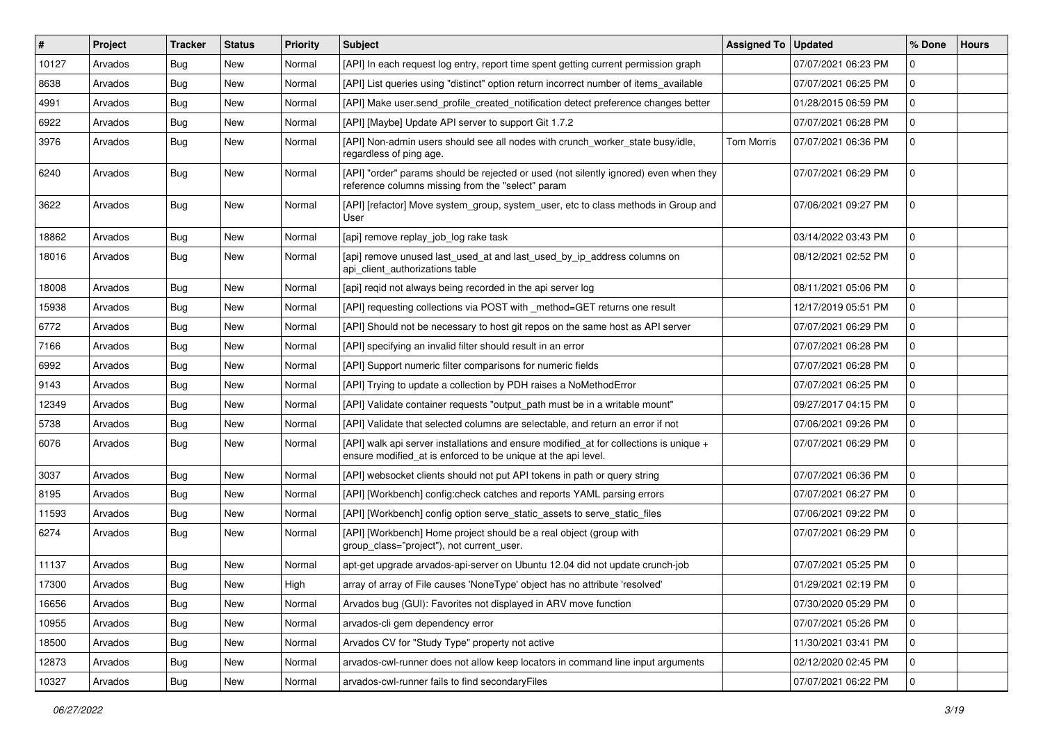| #     | Project | <b>Tracker</b> | <b>Status</b> | Priority | <b>Subject</b>                                                                                                                                          | Assigned To   Updated |                     | % Done         | <b>Hours</b> |
|-------|---------|----------------|---------------|----------|---------------------------------------------------------------------------------------------------------------------------------------------------------|-----------------------|---------------------|----------------|--------------|
| 10127 | Arvados | Bug            | New           | Normal   | [API] In each request log entry, report time spent getting current permission graph                                                                     |                       | 07/07/2021 06:23 PM | 0              |              |
| 8638  | Arvados | <b>Bug</b>     | <b>New</b>    | Normal   | [API] List queries using "distinct" option return incorrect number of items_available                                                                   |                       | 07/07/2021 06:25 PM | 0              |              |
| 4991  | Arvados | <b>Bug</b>     | New           | Normal   | [API] Make user.send_profile_created_notification detect preference changes better                                                                      |                       | 01/28/2015 06:59 PM | $\mathbf 0$    |              |
| 6922  | Arvados | <b>Bug</b>     | New           | Normal   | [API] [Maybe] Update API server to support Git 1.7.2                                                                                                    |                       | 07/07/2021 06:28 PM | $\mathbf 0$    |              |
| 3976  | Arvados | <b>Bug</b>     | New           | Normal   | [API] Non-admin users should see all nodes with crunch_worker_state busy/idle,<br>regardless of ping age.                                               | <b>Tom Morris</b>     | 07/07/2021 06:36 PM | $\mathbf 0$    |              |
| 6240  | Arvados | <b>Bug</b>     | New           | Normal   | [API] "order" params should be rejected or used (not silently ignored) even when they<br>reference columns missing from the "select" param              |                       | 07/07/2021 06:29 PM | $\mathbf 0$    |              |
| 3622  | Arvados | <b>Bug</b>     | New           | Normal   | [API] [refactor] Move system_group, system_user, etc to class methods in Group and<br>User                                                              |                       | 07/06/2021 09:27 PM | $\mathbf 0$    |              |
| 18862 | Arvados | Bug            | New           | Normal   | [api] remove replay_job_log rake task                                                                                                                   |                       | 03/14/2022 03:43 PM | $\mathbf 0$    |              |
| 18016 | Arvados | <b>Bug</b>     | New           | Normal   | [api] remove unused last_used_at and last_used_by_ip_address columns on<br>api_client_authorizations table                                              |                       | 08/12/2021 02:52 PM | $\mathbf 0$    |              |
| 18008 | Arvados | <b>Bug</b>     | New           | Normal   | [api] regid not always being recorded in the api server log                                                                                             |                       | 08/11/2021 05:06 PM | $\mathbf 0$    |              |
| 15938 | Arvados | <b>Bug</b>     | New           | Normal   | [API] requesting collections via POST with _method=GET returns one result                                                                               |                       | 12/17/2019 05:51 PM | $\mathbf 0$    |              |
| 6772  | Arvados | <b>Bug</b>     | New           | Normal   | [API] Should not be necessary to host git repos on the same host as API server                                                                          |                       | 07/07/2021 06:29 PM | 0              |              |
| 7166  | Arvados | Bug            | New           | Normal   | [API] specifying an invalid filter should result in an error                                                                                            |                       | 07/07/2021 06:28 PM | 0              |              |
| 6992  | Arvados | Bug            | <b>New</b>    | Normal   | [API] Support numeric filter comparisons for numeric fields                                                                                             |                       | 07/07/2021 06:28 PM | $\mathbf 0$    |              |
| 9143  | Arvados | Bug            | New           | Normal   | [API] Trying to update a collection by PDH raises a NoMethodError                                                                                       |                       | 07/07/2021 06:25 PM | 0              |              |
| 12349 | Arvados | <b>Bug</b>     | <b>New</b>    | Normal   | [API] Validate container requests "output_path must be in a writable mount"                                                                             |                       | 09/27/2017 04:15 PM | $\mathbf 0$    |              |
| 5738  | Arvados | <b>Bug</b>     | <b>New</b>    | Normal   | [API] Validate that selected columns are selectable, and return an error if not                                                                         |                       | 07/06/2021 09:26 PM | 0              |              |
| 6076  | Arvados | <b>Bug</b>     | New           | Normal   | [API] walk api server installations and ensure modified_at for collections is unique +<br>ensure modified_at is enforced to be unique at the api level. |                       | 07/07/2021 06:29 PM | $\mathbf 0$    |              |
| 3037  | Arvados | <b>Bug</b>     | New           | Normal   | [API] websocket clients should not put API tokens in path or query string                                                                               |                       | 07/07/2021 06:36 PM | $\mathbf 0$    |              |
| 8195  | Arvados | <b>Bug</b>     | New           | Normal   | [API] [Workbench] config:check catches and reports YAML parsing errors                                                                                  |                       | 07/07/2021 06:27 PM | $\mathbf 0$    |              |
| 11593 | Arvados | Bug            | <b>New</b>    | Normal   | [API] [Workbench] config option serve_static_assets to serve_static_files                                                                               |                       | 07/06/2021 09:22 PM | $\mathbf 0$    |              |
| 6274  | Arvados | <b>Bug</b>     | New           | Normal   | [API] [Workbench] Home project should be a real object (group with<br>group_class="project"), not current_user.                                         |                       | 07/07/2021 06:29 PM | $\mathbf 0$    |              |
| 11137 | Arvados | <b>Bug</b>     | <b>New</b>    | Normal   | apt-get upgrade arvados-api-server on Ubuntu 12.04 did not update crunch-job                                                                            |                       | 07/07/2021 05:25 PM | 0              |              |
| 17300 | Arvados | <b>Bug</b>     | New           | High     | array of array of File causes 'NoneType' object has no attribute 'resolved'                                                                             |                       | 01/29/2021 02:19 PM | $\mathbf 0$    |              |
| 16656 | Arvados | <b>Bug</b>     | New           | Normal   | Arvados bug (GUI): Favorites not displayed in ARV move function                                                                                         |                       | 07/30/2020 05:29 PM | 0              |              |
| 10955 | Arvados | <b>Bug</b>     | New           | Normal   | arvados-cli gem dependency error                                                                                                                        |                       | 07/07/2021 05:26 PM | $\mathbf 0$    |              |
| 18500 | Arvados | <b>Bug</b>     | New           | Normal   | Arvados CV for "Study Type" property not active                                                                                                         |                       | 11/30/2021 03:41 PM | 0              |              |
| 12873 | Arvados | <b>Bug</b>     | New           | Normal   | arvados-cwl-runner does not allow keep locators in command line input arguments                                                                         |                       | 02/12/2020 02:45 PM | $\mathbf 0$    |              |
| 10327 | Arvados | Bug            | New           | Normal   | arvados-cwl-runner fails to find secondaryFiles                                                                                                         |                       | 07/07/2021 06:22 PM | $\overline{0}$ |              |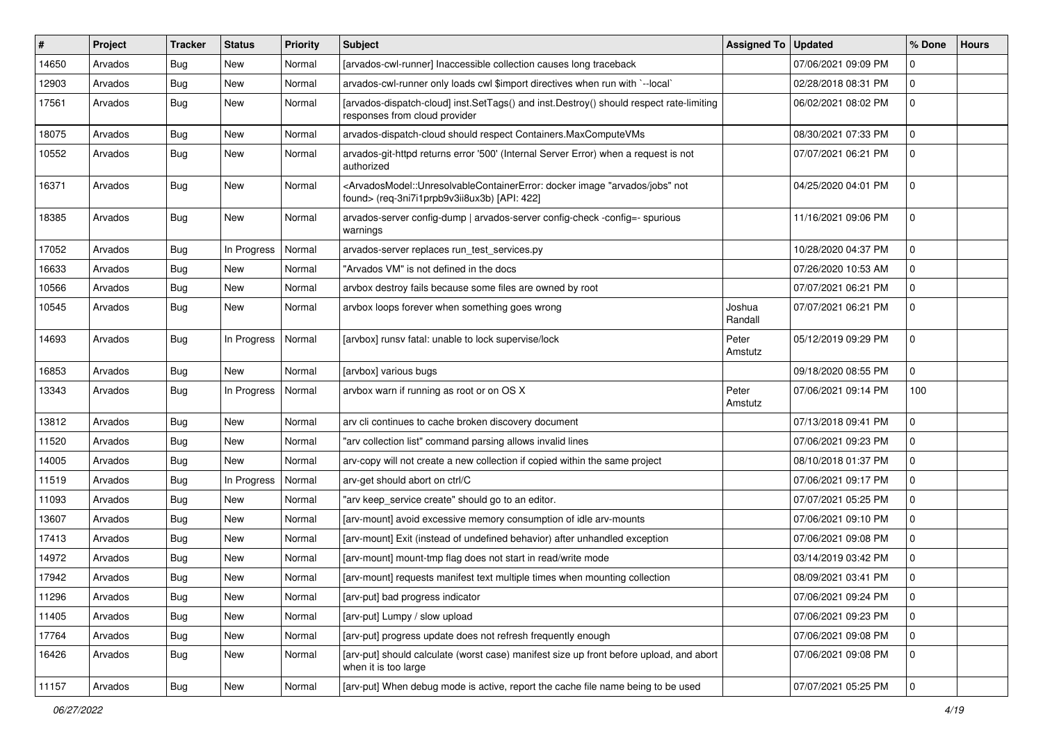| #     | Project | <b>Tracker</b> | <b>Status</b> | <b>Priority</b> | <b>Subject</b>                                                                                                                                                                           | <b>Assigned To</b> | <b>Updated</b>      | % Done         | <b>Hours</b> |
|-------|---------|----------------|---------------|-----------------|------------------------------------------------------------------------------------------------------------------------------------------------------------------------------------------|--------------------|---------------------|----------------|--------------|
| 14650 | Arvados | <b>Bug</b>     | <b>New</b>    | Normal          | [arvados-cwl-runner] Inaccessible collection causes long traceback                                                                                                                       |                    | 07/06/2021 09:09 PM | $\mathbf 0$    |              |
| 12903 | Arvados | Bug            | <b>New</b>    | Normal          | arvados-cwl-runner only loads cwl \$import directives when run with `--local`                                                                                                            |                    | 02/28/2018 08:31 PM | 0              |              |
| 17561 | Arvados | <b>Bug</b>     | New           | Normal          | [arvados-dispatch-cloud] inst.SetTags() and inst.Destroy() should respect rate-limiting<br>responses from cloud provider                                                                 |                    | 06/02/2021 08:02 PM | $\mathbf 0$    |              |
| 18075 | Arvados | <b>Bug</b>     | <b>New</b>    | Normal          | arvados-dispatch-cloud should respect Containers.MaxComputeVMs                                                                                                                           |                    | 08/30/2021 07:33 PM | $\mathbf 0$    |              |
| 10552 | Arvados | <b>Bug</b>     | New           | Normal          | arvados-git-httpd returns error '500' (Internal Server Error) when a request is not<br>authorized                                                                                        |                    | 07/07/2021 06:21 PM | 0              |              |
| 16371 | Arvados | <b>Bug</b>     | New           | Normal          | <arvadosmodel::unresolvablecontainererror: "arvados="" docker="" image="" jobs"="" not<br="">found&gt; (req-3ni7i1prpb9v3ii8ux3b) [API: 422]</arvadosmodel::unresolvablecontainererror:> |                    | 04/25/2020 04:01 PM | $\mathbf 0$    |              |
| 18385 | Arvados | <b>Bug</b>     | <b>New</b>    | Normal          | arvados-server config-dump   arvados-server config-check -config=- spurious<br>warnings                                                                                                  |                    | 11/16/2021 09:06 PM | $\mathbf 0$    |              |
| 17052 | Arvados | <b>Bug</b>     | In Progress   | Normal          | arvados-server replaces run_test_services.py                                                                                                                                             |                    | 10/28/2020 04:37 PM | $\mathbf 0$    |              |
| 16633 | Arvados | Bug            | <b>New</b>    | Normal          | "Arvados VM" is not defined in the docs                                                                                                                                                  |                    | 07/26/2020 10:53 AM | 0              |              |
| 10566 | Arvados | <b>Bug</b>     | New           | Normal          | arvbox destroy fails because some files are owned by root                                                                                                                                |                    | 07/07/2021 06:21 PM | 0              |              |
| 10545 | Arvados | <b>Bug</b>     | New           | Normal          | arvbox loops forever when something goes wrong                                                                                                                                           | Joshua<br>Randall  | 07/07/2021 06:21 PM | $\mathbf 0$    |              |
| 14693 | Arvados | Bug            | In Progress   | Normal          | [arvbox] runsv fatal: unable to lock supervise/lock                                                                                                                                      | Peter<br>Amstutz   | 05/12/2019 09:29 PM | 0              |              |
| 16853 | Arvados | <b>Bug</b>     | New           | Normal          | [arvbox] various bugs                                                                                                                                                                    |                    | 09/18/2020 08:55 PM | $\mathbf 0$    |              |
| 13343 | Arvados | <b>Bug</b>     | In Progress   | Normal          | arvbox warn if running as root or on OS X                                                                                                                                                | Peter<br>Amstutz   | 07/06/2021 09:14 PM | 100            |              |
| 13812 | Arvados | <b>Bug</b>     | New           | Normal          | arv cli continues to cache broken discovery document                                                                                                                                     |                    | 07/13/2018 09:41 PM | $\mathbf 0$    |              |
| 11520 | Arvados | <b>Bug</b>     | New           | Normal          | "arv collection list" command parsing allows invalid lines                                                                                                                               |                    | 07/06/2021 09:23 PM | $\mathbf 0$    |              |
| 14005 | Arvados | <b>Bug</b>     | <b>New</b>    | Normal          | arv-copy will not create a new collection if copied within the same project                                                                                                              |                    | 08/10/2018 01:37 PM | 0              |              |
| 11519 | Arvados | Bug            | In Progress   | Normal          | arv-get should abort on ctrl/C                                                                                                                                                           |                    | 07/06/2021 09:17 PM | 0              |              |
| 11093 | Arvados | <b>Bug</b>     | <b>New</b>    | Normal          | "arv keep_service create" should go to an editor.                                                                                                                                        |                    | 07/07/2021 05:25 PM | 0              |              |
| 13607 | Arvados | Bug            | New           | Normal          | [arv-mount] avoid excessive memory consumption of idle arv-mounts                                                                                                                        |                    | 07/06/2021 09:10 PM | 0              |              |
| 17413 | Arvados | <b>Bug</b>     | <b>New</b>    | Normal          | [arv-mount] Exit (instead of undefined behavior) after unhandled exception                                                                                                               |                    | 07/06/2021 09:08 PM | 0              |              |
| 14972 | Arvados | <b>Bug</b>     | <b>New</b>    | Normal          | [arv-mount] mount-tmp flag does not start in read/write mode                                                                                                                             |                    | 03/14/2019 03:42 PM | 0              |              |
| 17942 | Arvados | <b>Bug</b>     | New           | Normal          | [arv-mount] requests manifest text multiple times when mounting collection                                                                                                               |                    | 08/09/2021 03:41 PM | 0              |              |
| 11296 | Arvados | Bug            | New           | Normal          | [arv-put] bad progress indicator                                                                                                                                                         |                    | 07/06/2021 09:24 PM | 0              |              |
| 11405 | Arvados | <b>Bug</b>     | New           | Normal          | [arv-put] Lumpy / slow upload                                                                                                                                                            |                    | 07/06/2021 09:23 PM | $\mathbf{0}$   |              |
| 17764 | Arvados | <b>Bug</b>     | New           | Normal          | [arv-put] progress update does not refresh frequently enough                                                                                                                             |                    | 07/06/2021 09:08 PM | $\mathbf 0$    |              |
| 16426 | Arvados | <b>Bug</b>     | New           | Normal          | [arv-put] should calculate (worst case) manifest size up front before upload, and abort<br>when it is too large                                                                          |                    | 07/06/2021 09:08 PM | $\mathbf 0$    |              |
| 11157 | Arvados | <b>Bug</b>     | New           | Normal          | [arv-put] When debug mode is active, report the cache file name being to be used                                                                                                         |                    | 07/07/2021 05:25 PM | $\overline{0}$ |              |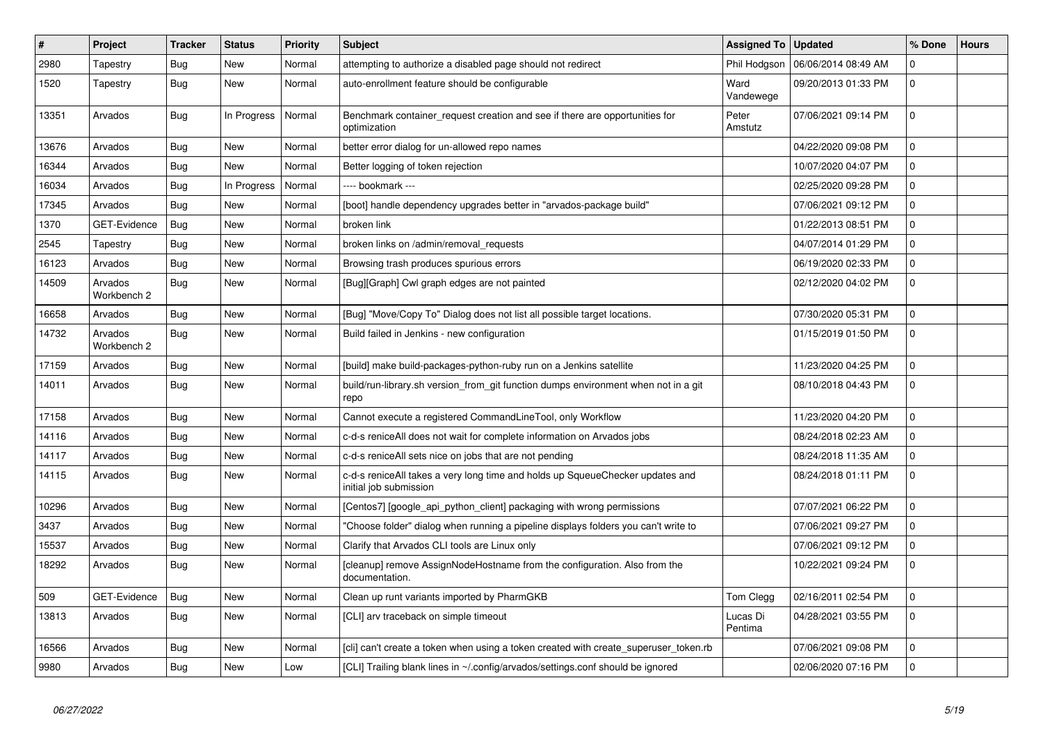| $\vert$ # | Project                | <b>Tracker</b> | <b>Status</b> | Priority | <b>Subject</b>                                                                                          | <b>Assigned To</b>  | <b>Updated</b>      | % Done              | <b>Hours</b> |
|-----------|------------------------|----------------|---------------|----------|---------------------------------------------------------------------------------------------------------|---------------------|---------------------|---------------------|--------------|
| 2980      | Tapestry               | Bug            | <b>New</b>    | Normal   | attempting to authorize a disabled page should not redirect                                             | Phil Hodgson        | 06/06/2014 08:49 AM | $\mathbf 0$         |              |
| 1520      | Tapestry               | Bug            | <b>New</b>    | Normal   | auto-enrollment feature should be configurable                                                          | Ward<br>Vandewege   | 09/20/2013 01:33 PM | 0                   |              |
| 13351     | Arvados                | Bug            | In Progress   | Normal   | Benchmark container_request creation and see if there are opportunities for<br>optimization             | Peter<br>Amstutz    | 07/06/2021 09:14 PM | $\mathsf{O}\xspace$ |              |
| 13676     | Arvados                | Bug            | <b>New</b>    | Normal   | better error dialog for un-allowed repo names                                                           |                     | 04/22/2020 09:08 PM | $\mathbf 0$         |              |
| 16344     | Arvados                | Bug            | <b>New</b>    | Normal   | Better logging of token rejection                                                                       |                     | 10/07/2020 04:07 PM | $\mathbf 0$         |              |
| 16034     | Arvados                | <b>Bug</b>     | In Progress   | Normal   | ---- bookmark ---                                                                                       |                     | 02/25/2020 09:28 PM | 0                   |              |
| 17345     | Arvados                | Bug            | <b>New</b>    | Normal   | [boot] handle dependency upgrades better in "arvados-package build"                                     |                     | 07/06/2021 09:12 PM | $\mathbf 0$         |              |
| 1370      | GET-Evidence           | <b>Bug</b>     | <b>New</b>    | Normal   | broken link                                                                                             |                     | 01/22/2013 08:51 PM | $\mathbf 0$         |              |
| 2545      | Tapestry               | <b>Bug</b>     | <b>New</b>    | Normal   | broken links on /admin/removal requests                                                                 |                     | 04/07/2014 01:29 PM | $\mathbf 0$         |              |
| 16123     | Arvados                | Bug            | <b>New</b>    | Normal   | Browsing trash produces spurious errors                                                                 |                     | 06/19/2020 02:33 PM | 0                   |              |
| 14509     | Arvados<br>Workbench 2 | <b>Bug</b>     | New           | Normal   | [Bug][Graph] Cwl graph edges are not painted                                                            |                     | 02/12/2020 04:02 PM | $\mathbf 0$         |              |
| 16658     | Arvados                | Bug            | <b>New</b>    | Normal   | [Bug] "Move/Copy To" Dialog does not list all possible target locations.                                |                     | 07/30/2020 05:31 PM | $\pmb{0}$           |              |
| 14732     | Arvados<br>Workbench 2 | <b>Bug</b>     | <b>New</b>    | Normal   | Build failed in Jenkins - new configuration                                                             |                     | 01/15/2019 01:50 PM | $\Omega$            |              |
| 17159     | Arvados                | Bug            | <b>New</b>    | Normal   | [build] make build-packages-python-ruby run on a Jenkins satellite                                      |                     | 11/23/2020 04:25 PM | $\overline{0}$      |              |
| 14011     | Arvados                | <b>Bug</b>     | <b>New</b>    | Normal   | build/run-library.sh version_from_git function dumps environment when not in a git<br>repo              |                     | 08/10/2018 04:43 PM | $\Omega$            |              |
| 17158     | Arvados                | Bug            | <b>New</b>    | Normal   | Cannot execute a registered CommandLineTool, only Workflow                                              |                     | 11/23/2020 04:20 PM | $\mathsf{O}\xspace$ |              |
| 14116     | Arvados                | Bug            | <b>New</b>    | Normal   | c-d-s reniceAll does not wait for complete information on Arvados jobs                                  |                     | 08/24/2018 02:23 AM | $\Omega$            |              |
| 14117     | Arvados                | Bug            | <b>New</b>    | Normal   | c-d-s reniceAll sets nice on jobs that are not pending                                                  |                     | 08/24/2018 11:35 AM | $\mathbf 0$         |              |
| 14115     | Arvados                | <b>Bug</b>     | New           | Normal   | c-d-s reniceAll takes a very long time and holds up SqueueChecker updates and<br>initial job submission |                     | 08/24/2018 01:11 PM | $\mathbf 0$         |              |
| 10296     | Arvados                | Bug            | <b>New</b>    | Normal   | Centos7] [google api python client] packaging with wrong permissions                                    |                     | 07/07/2021 06:22 PM | $\Omega$            |              |
| 3437      | Arvados                | <b>Bug</b>     | New           | Normal   | "Choose folder" dialog when running a pipeline displays folders you can't write to                      |                     | 07/06/2021 09:27 PM | $\mathbf 0$         |              |
| 15537     | Arvados                | <b>Bug</b>     | <b>New</b>    | Normal   | Clarify that Arvados CLI tools are Linux only                                                           |                     | 07/06/2021 09:12 PM | $\overline{0}$      |              |
| 18292     | Arvados                | Bug            | <b>New</b>    | Normal   | [cleanup] remove AssignNodeHostname from the configuration. Also from the<br>documentation.             |                     | 10/22/2021 09:24 PM | $\mathbf 0$         |              |
| 509       | <b>GET-Evidence</b>    | <b>Bug</b>     | <b>New</b>    | Normal   | Clean up runt variants imported by PharmGKB                                                             | Tom Clegg           | 02/16/2011 02:54 PM | $\mathbf 0$         |              |
| 13813     | Arvados                | Bug            | <b>New</b>    | Normal   | [CLI] arv traceback on simple timeout                                                                   | Lucas Di<br>Pentima | 04/28/2021 03:55 PM | $\mathbf 0$         |              |
| 16566     | Arvados                | Bug            | <b>New</b>    | Normal   | [cli] can't create a token when using a token created with create superuser token.rb                    |                     | 07/06/2021 09:08 PM | $\mathbf 0$         |              |
| 9980      | Arvados                | Bug            | <b>New</b>    | Low      | [CLI] Trailing blank lines in ~/.config/arvados/settings.conf should be ignored                         |                     | 02/06/2020 07:16 PM | $\mathsf{O}\xspace$ |              |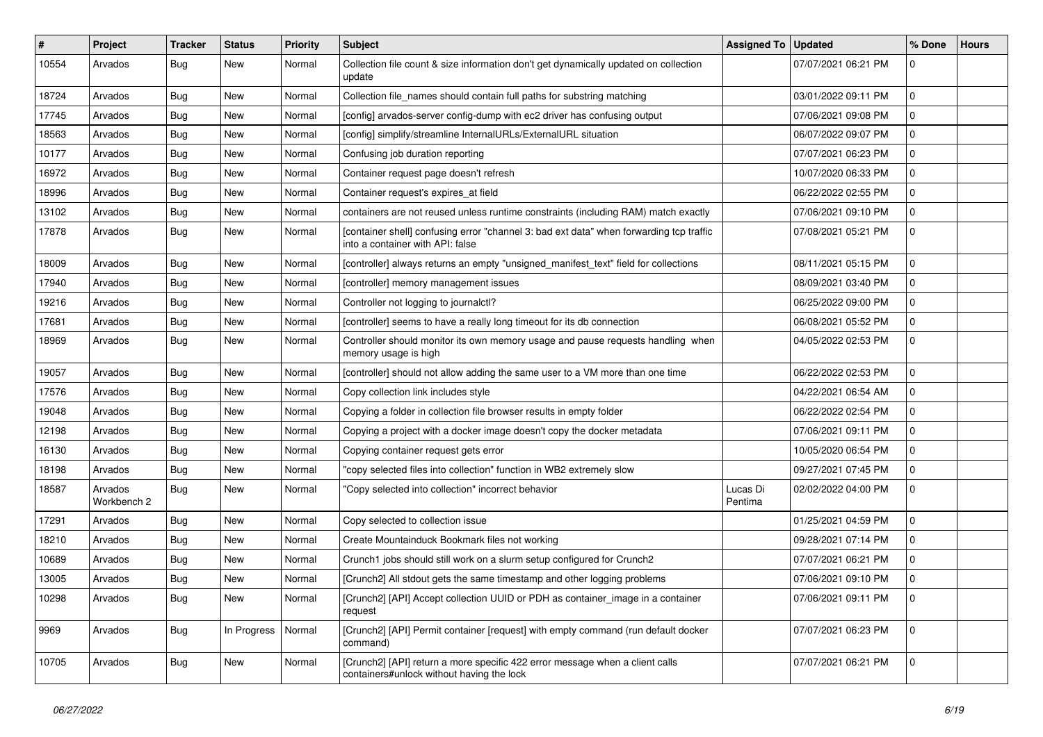| $\vert$ # | Project                | <b>Tracker</b> | <b>Status</b> | <b>Priority</b> | <b>Subject</b>                                                                                                              | Assigned To   Updated |                     | % Done       | <b>Hours</b> |
|-----------|------------------------|----------------|---------------|-----------------|-----------------------------------------------------------------------------------------------------------------------------|-----------------------|---------------------|--------------|--------------|
| 10554     | Arvados                | <b>Bug</b>     | New           | Normal          | Collection file count & size information don't get dynamically updated on collection<br>update                              |                       | 07/07/2021 06:21 PM | $\Omega$     |              |
| 18724     | Arvados                | <b>Bug</b>     | <b>New</b>    | Normal          | Collection file_names should contain full paths for substring matching                                                      |                       | 03/01/2022 09:11 PM | 0            |              |
| 17745     | Arvados                | <b>Bug</b>     | <b>New</b>    | Normal          | [config] arvados-server config-dump with ec2 driver has confusing output                                                    |                       | 07/06/2021 09:08 PM | $\mathbf 0$  |              |
| 18563     | Arvados                | Bug            | <b>New</b>    | Normal          | [config] simplify/streamline InternalURLs/ExternalURL situation                                                             |                       | 06/07/2022 09:07 PM | $\mathbf 0$  |              |
| 10177     | Arvados                | Bug            | New           | Normal          | Confusing job duration reporting                                                                                            |                       | 07/07/2021 06:23 PM | 0            |              |
| 16972     | Arvados                | Bug            | New           | Normal          | Container request page doesn't refresh                                                                                      |                       | 10/07/2020 06:33 PM | 0            |              |
| 18996     | Arvados                | Bug            | <b>New</b>    | Normal          | Container request's expires at field                                                                                        |                       | 06/22/2022 02:55 PM | $\mathbf 0$  |              |
| 13102     | Arvados                | Bug            | <b>New</b>    | Normal          | containers are not reused unless runtime constraints (including RAM) match exactly                                          |                       | 07/06/2021 09:10 PM | $\mathbf 0$  |              |
| 17878     | Arvados                | Bug            | <b>New</b>    | Normal          | [container shell] confusing error "channel 3: bad ext data" when forwarding tcp traffic<br>into a container with API: false |                       | 07/08/2021 05:21 PM | $\Omega$     |              |
| 18009     | Arvados                | Bug            | <b>New</b>    | Normal          | [controller] always returns an empty "unsigned manifest text" field for collections                                         |                       | 08/11/2021 05:15 PM | $\mathbf 0$  |              |
| 17940     | Arvados                | Bug            | <b>New</b>    | Normal          | [controller] memory management issues                                                                                       |                       | 08/09/2021 03:40 PM | 0            |              |
| 19216     | Arvados                | Bug            | New           | Normal          | Controller not logging to journalctl?                                                                                       |                       | 06/25/2022 09:00 PM | $\mathbf 0$  |              |
| 17681     | Arvados                | Bug            | New           | Normal          | [controller] seems to have a really long timeout for its db connection                                                      |                       | 06/08/2021 05:52 PM | $\mathbf 0$  |              |
| 18969     | Arvados                | Bug            | New           | Normal          | Controller should monitor its own memory usage and pause requests handling when<br>memory usage is high                     |                       | 04/05/2022 02:53 PM | $\mathbf 0$  |              |
| 19057     | Arvados                | <b>Bug</b>     | New           | Normal          | [controller] should not allow adding the same user to a VM more than one time                                               |                       | 06/22/2022 02:53 PM | $\Omega$     |              |
| 17576     | Arvados                | <b>Bug</b>     | New           | Normal          | Copy collection link includes style                                                                                         |                       | 04/22/2021 06:54 AM | 0            |              |
| 19048     | Arvados                | <b>Bug</b>     | <b>New</b>    | Normal          | Copying a folder in collection file browser results in empty folder                                                         |                       | 06/22/2022 02:54 PM | $\mathbf 0$  |              |
| 12198     | Arvados                | <b>Bug</b>     | <b>New</b>    | Normal          | Copying a project with a docker image doesn't copy the docker metadata                                                      |                       | 07/06/2021 09:11 PM | $\mathbf 0$  |              |
| 16130     | Arvados                | <b>Bug</b>     | <b>New</b>    | Normal          | Copying container request gets error                                                                                        |                       | 10/05/2020 06:54 PM | $\Omega$     |              |
| 18198     | Arvados                | <b>Bug</b>     | New           | Normal          | "copy selected files into collection" function in WB2 extremely slow                                                        |                       | 09/27/2021 07:45 PM | $\mathbf 0$  |              |
| 18587     | Arvados<br>Workbench 2 | <b>Bug</b>     | <b>New</b>    | Normal          | "Copy selected into collection" incorrect behavior                                                                          | Lucas Di<br>Pentima   | 02/02/2022 04:00 PM | $\Omega$     |              |
| 17291     | Arvados                | <b>Bug</b>     | New           | Normal          | Copy selected to collection issue                                                                                           |                       | 01/25/2021 04:59 PM | $\mathbf{0}$ |              |
| 18210     | Arvados                | <b>Bug</b>     | New           | Normal          | Create Mountainduck Bookmark files not working                                                                              |                       | 09/28/2021 07:14 PM | 0            |              |
| 10689     | Arvados                | Bug            | <b>New</b>    | Normal          | Crunch1 jobs should still work on a slurm setup configured for Crunch2                                                      |                       | 07/07/2021 06:21 PM | $\mathbf 0$  |              |
| 13005     | Arvados                | Bug            | New           | Normal          | [Crunch2] All stdout gets the same timestamp and other logging problems                                                     |                       | 07/06/2021 09:10 PM | $\mathbf 0$  |              |
| 10298     | Arvados                | Bug            | New           | Normal          | [Crunch2] [API] Accept collection UUID or PDH as container_image in a container<br>request                                  |                       | 07/06/2021 09:11 PM | $\mathbf 0$  |              |
| 9969      | Arvados                | Bug            | In Progress   | Normal          | [Crunch2] [API] Permit container [request] with empty command (run default docker<br>command)                               |                       | 07/07/2021 06:23 PM | $\Omega$     |              |
| 10705     | Arvados                | <b>Bug</b>     | New           | Normal          | [Crunch2] [API] return a more specific 422 error message when a client calls<br>containers#unlock without having the lock   |                       | 07/07/2021 06:21 PM | $\mathbf 0$  |              |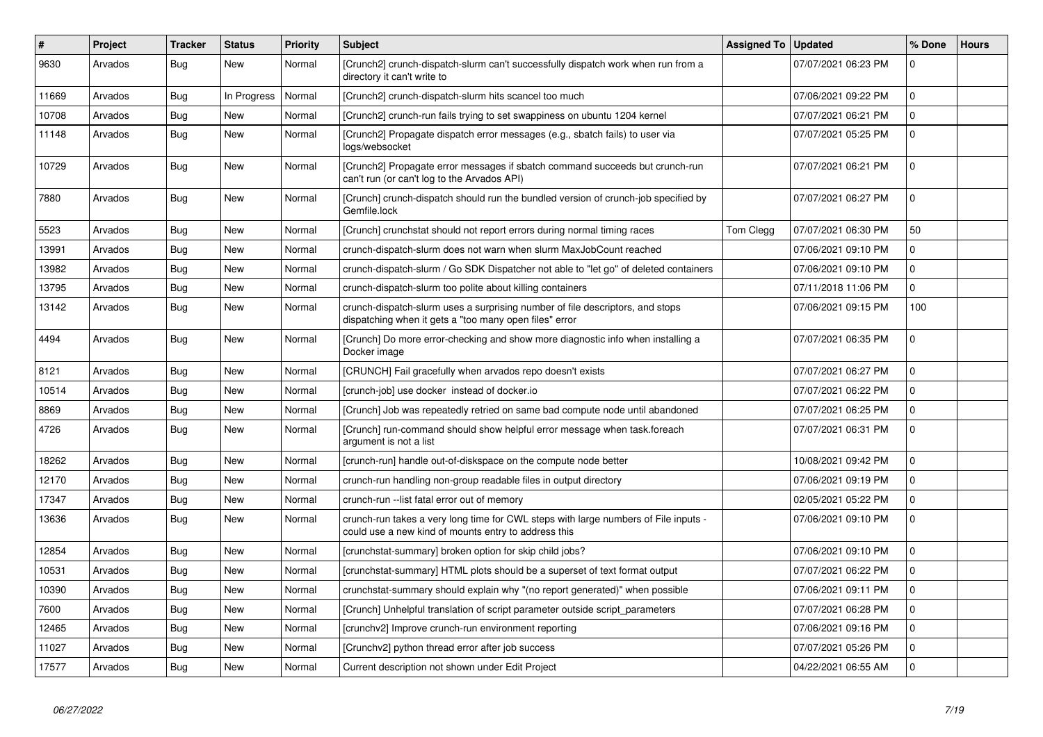| #     | <b>Project</b> | Tracker    | <b>Status</b> | <b>Priority</b> | <b>Subject</b>                                                                                                                              | <b>Assigned To</b> | <b>Updated</b>      | % Done       | <b>Hours</b> |
|-------|----------------|------------|---------------|-----------------|---------------------------------------------------------------------------------------------------------------------------------------------|--------------------|---------------------|--------------|--------------|
| 9630  | Arvados        | Bug        | New           | Normal          | [Crunch2] crunch-dispatch-slurm can't successfully dispatch work when run from a<br>directory it can't write to                             |                    | 07/07/2021 06:23 PM | $\mathbf 0$  |              |
| 11669 | Arvados        | Bug        | In Progress   | Normal          | [Crunch2] crunch-dispatch-slurm hits scancel too much                                                                                       |                    | 07/06/2021 09:22 PM | $\Omega$     |              |
| 10708 | Arvados        | Bug        | New           | Normal          | [Crunch2] crunch-run fails trying to set swappiness on ubuntu 1204 kernel                                                                   |                    | 07/07/2021 06:21 PM | $\mathbf 0$  |              |
| 11148 | Arvados        | Bug        | New           | Normal          | [Crunch2] Propagate dispatch error messages (e.g., sbatch fails) to user via<br>logs/websocket                                              |                    | 07/07/2021 05:25 PM | l 0          |              |
| 10729 | Arvados        | <b>Bug</b> | New           | Normal          | [Crunch2] Propagate error messages if sbatch command succeeds but crunch-run<br>can't run (or can't log to the Arvados API)                 |                    | 07/07/2021 06:21 PM | $\Omega$     |              |
| 7880  | Arvados        | Bug        | New           | Normal          | [Crunch] crunch-dispatch should run the bundled version of crunch-job specified by<br>Gemfile.lock                                          |                    | 07/07/2021 06:27 PM | $\Omega$     |              |
| 5523  | Arvados        | <b>Bug</b> | <b>New</b>    | Normal          | [Crunch] crunchstat should not report errors during normal timing races                                                                     | Tom Clegg          | 07/07/2021 06:30 PM | 50           |              |
| 13991 | Arvados        | Bug        | <b>New</b>    | Normal          | crunch-dispatch-slurm does not warn when slurm MaxJobCount reached                                                                          |                    | 07/06/2021 09:10 PM | $\mathbf 0$  |              |
| 13982 | Arvados        | Bug        | New           | Normal          | crunch-dispatch-slurm / Go SDK Dispatcher not able to "let go" of deleted containers                                                        |                    | 07/06/2021 09:10 PM | $\mathbf 0$  |              |
| 13795 | Arvados        | Bug        | New           | Normal          | crunch-dispatch-slurm too polite about killing containers                                                                                   |                    | 07/11/2018 11:06 PM | $\mathbf{0}$ |              |
| 13142 | Arvados        | Bug        | New           | Normal          | crunch-dispatch-slurm uses a surprising number of file descriptors, and stops<br>dispatching when it gets a "too many open files" error     |                    | 07/06/2021 09:15 PM | 100          |              |
| 4494  | Arvados        | Bug        | <b>New</b>    | Normal          | [Crunch] Do more error-checking and show more diagnostic info when installing a<br>Docker image                                             |                    | 07/07/2021 06:35 PM | $\mathbf 0$  |              |
| 8121  | Arvados        | Bug        | New           | Normal          | [CRUNCH] Fail gracefully when arvados repo doesn't exists                                                                                   |                    | 07/07/2021 06:27 PM | $\Omega$     |              |
| 10514 | Arvados        | Bug        | New           | Normal          | [crunch-job] use docker instead of docker.io                                                                                                |                    | 07/07/2021 06:22 PM | $\mathbf 0$  |              |
| 8869  | Arvados        | Bug        | New           | Normal          | [Crunch] Job was repeatedly retried on same bad compute node until abandoned                                                                |                    | 07/07/2021 06:25 PM | $\mathbf 0$  |              |
| 4726  | Arvados        | Bug        | <b>New</b>    | Normal          | [Crunch] run-command should show helpful error message when task.foreach<br>argument is not a list                                          |                    | 07/07/2021 06:31 PM | $\Omega$     |              |
| 18262 | Arvados        | Bug        | New           | Normal          | [crunch-run] handle out-of-diskspace on the compute node better                                                                             |                    | 10/08/2021 09:42 PM | 0            |              |
| 12170 | Arvados        | Bug        | New           | Normal          | crunch-run handling non-group readable files in output directory                                                                            |                    | 07/06/2021 09:19 PM | $\mathbf 0$  |              |
| 17347 | Arvados        | Bug        | New           | Normal          | crunch-run --list fatal error out of memory                                                                                                 |                    | 02/05/2021 05:22 PM | $\mathbf 0$  |              |
| 13636 | Arvados        | Bug        | New           | Normal          | crunch-run takes a very long time for CWL steps with large numbers of File inputs -<br>could use a new kind of mounts entry to address this |                    | 07/06/2021 09:10 PM | $\mathbf 0$  |              |
| 12854 | Arvados        | Bug        | New           | Normal          | [crunchstat-summary] broken option for skip child jobs?                                                                                     |                    | 07/06/2021 09:10 PM | $\mathbf 0$  |              |
| 10531 | Arvados        | Bug        | New           | Normal          | [crunchstat-summary] HTML plots should be a superset of text format output                                                                  |                    | 07/07/2021 06:22 PM | 0            |              |
| 10390 | Arvados        | Bug        | New           | Normal          | crunchstat-summary should explain why "(no report generated)" when possible                                                                 |                    | 07/06/2021 09:11 PM | $\mathbf 0$  |              |
| 7600  | Arvados        | Bug        | New           | Normal          | [Crunch] Unhelpful translation of script parameter outside script parameters                                                                |                    | 07/07/2021 06:28 PM | $\mathbf 0$  |              |
| 12465 | Arvados        | Bug        | New           | Normal          | [crunchv2] Improve crunch-run environment reporting                                                                                         |                    | 07/06/2021 09:16 PM | $\mathbf{0}$ |              |
| 11027 | Arvados        | Bug        | New           | Normal          | [Crunchv2] python thread error after job success                                                                                            |                    | 07/07/2021 05:26 PM | $\mathbf 0$  |              |
| 17577 | Arvados        | Bug        | New           | Normal          | Current description not shown under Edit Project                                                                                            |                    | 04/22/2021 06:55 AM | $\mathbf 0$  |              |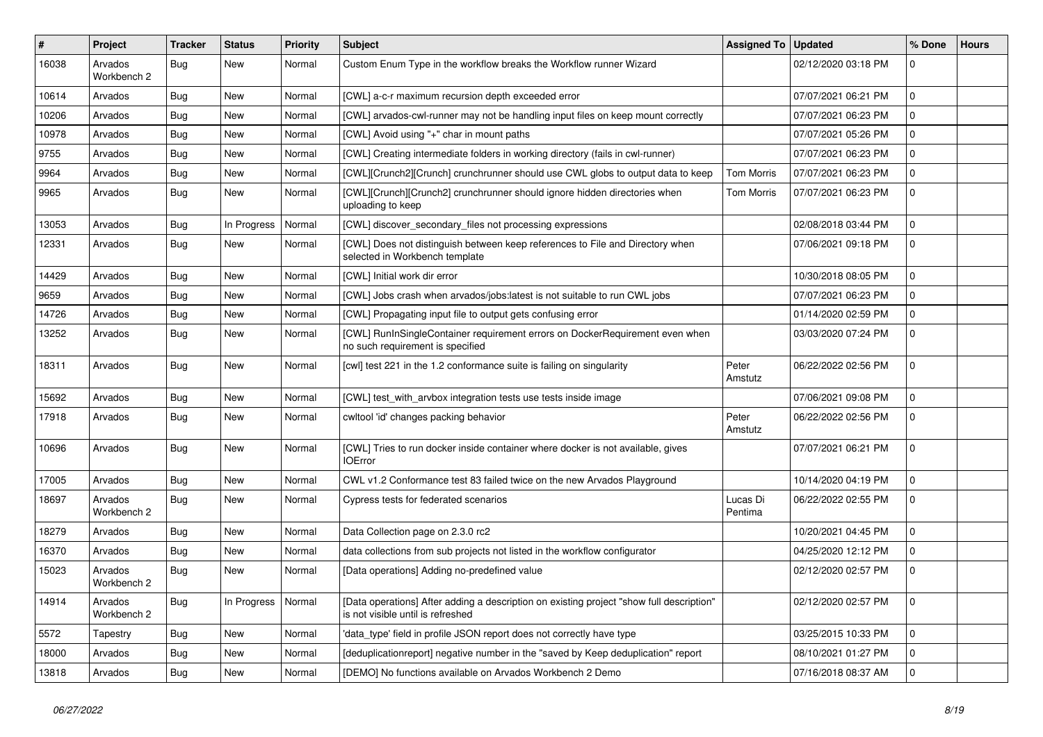| #     | Project                | <b>Tracker</b> | <b>Status</b> | <b>Priority</b> | Subject                                                                                                                       | Assigned To   Updated |                     | % Done      | <b>Hours</b> |
|-------|------------------------|----------------|---------------|-----------------|-------------------------------------------------------------------------------------------------------------------------------|-----------------------|---------------------|-------------|--------------|
| 16038 | Arvados<br>Workbench 2 | <b>Bug</b>     | New           | Normal          | Custom Enum Type in the workflow breaks the Workflow runner Wizard                                                            |                       | 02/12/2020 03:18 PM | $\Omega$    |              |
| 10614 | Arvados                | <b>Bug</b>     | New           | Normal          | [CWL] a-c-r maximum recursion depth exceeded error                                                                            |                       | 07/07/2021 06:21 PM | $\mathbf 0$ |              |
| 10206 | Arvados                | Bug            | New           | Normal          | [CWL] arvados-cwl-runner may not be handling input files on keep mount correctly                                              |                       | 07/07/2021 06:23 PM | $\mathbf 0$ |              |
| 10978 | Arvados                | Bug            | New           | Normal          | [CWL] Avoid using "+" char in mount paths                                                                                     |                       | 07/07/2021 05:26 PM | $\mathbf 0$ |              |
| 9755  | Arvados                | <b>Bug</b>     | New           | Normal          | [CWL] Creating intermediate folders in working directory (fails in cwl-runner)                                                |                       | 07/07/2021 06:23 PM | $\mathbf 0$ |              |
| 9964  | Arvados                | <b>Bug</b>     | New           | Normal          | [CWL][Crunch2][Crunch] crunchrunner should use CWL globs to output data to keep                                               | <b>Tom Morris</b>     | 07/07/2021 06:23 PM | $\mathbf 0$ |              |
| 9965  | Arvados                | <b>Bug</b>     | New           | Normal          | [CWL][Crunch][Crunch2] crunchrunner should ignore hidden directories when<br>uploading to keep                                | Tom Morris            | 07/07/2021 06:23 PM | $\mathbf 0$ |              |
| 13053 | Arvados                | Bug            | In Progress   | Normal          | [CWL] discover_secondary_files not processing expressions                                                                     |                       | 02/08/2018 03:44 PM | $\mathbf 0$ |              |
| 12331 | Arvados                | Bug            | New           | Normal          | [CWL] Does not distinguish between keep references to File and Directory when<br>selected in Workbench template               |                       | 07/06/2021 09:18 PM | $\mathbf 0$ |              |
| 14429 | Arvados                | Bug            | New           | Normal          | [CWL] Initial work dir error                                                                                                  |                       | 10/30/2018 08:05 PM | $\mathbf 0$ |              |
| 9659  | Arvados                | Bug            | New           | Normal          | [CWL] Jobs crash when arvados/jobs:latest is not suitable to run CWL jobs                                                     |                       | 07/07/2021 06:23 PM | $\mathbf 0$ |              |
| 14726 | Arvados                | Bug            | New           | Normal          | [CWL] Propagating input file to output gets confusing error                                                                   |                       | 01/14/2020 02:59 PM | $\mathbf 0$ |              |
| 13252 | Arvados                | <b>Bug</b>     | New           | Normal          | [CWL] RunInSingleContainer requirement errors on DockerRequirement even when<br>no such requirement is specified              |                       | 03/03/2020 07:24 PM | $\mathbf 0$ |              |
| 18311 | Arvados                | Bug            | New           | Normal          | [cwl] test 221 in the 1.2 conformance suite is failing on singularity                                                         | Peter<br>Amstutz      | 06/22/2022 02:56 PM | $\mathbf 0$ |              |
| 15692 | Arvados                | Bug            | New           | Normal          | [CWL] test_with_arvbox integration tests use tests inside image                                                               |                       | 07/06/2021 09:08 PM | $\mathbf 0$ |              |
| 17918 | Arvados                | Bug            | New           | Normal          | cwltool 'id' changes packing behavior                                                                                         | Peter<br>Amstutz      | 06/22/2022 02:56 PM | $\mathbf 0$ |              |
| 10696 | Arvados                | <b>Bug</b>     | New           | Normal          | [CWL] Tries to run docker inside container where docker is not available, gives<br><b>IOError</b>                             |                       | 07/07/2021 06:21 PM | $\mathbf 0$ |              |
| 17005 | Arvados                | Bug            | New           | Normal          | CWL v1.2 Conformance test 83 failed twice on the new Arvados Playground                                                       |                       | 10/14/2020 04:19 PM | $\Omega$    |              |
| 18697 | Arvados<br>Workbench 2 | <b>Bug</b>     | New           | Normal          | Cypress tests for federated scenarios                                                                                         | Lucas Di<br>Pentima   | 06/22/2022 02:55 PM | $\mathbf 0$ |              |
| 18279 | Arvados                | Bug            | New           | Normal          | Data Collection page on 2.3.0 rc2                                                                                             |                       | 10/20/2021 04:45 PM | $\Omega$    |              |
| 16370 | Arvados                | Bug            | New           | Normal          | data collections from sub projects not listed in the workflow configurator                                                    |                       | 04/25/2020 12:12 PM | 0           |              |
| 15023 | Arvados<br>Workbench 2 | <b>Bug</b>     | New           | Normal          | [Data operations] Adding no-predefined value                                                                                  |                       | 02/12/2020 02:57 PM | $\mathbf 0$ |              |
| 14914 | Arvados<br>Workbench 2 | <b>Bug</b>     | In Progress   | Normal          | [Data operations] After adding a description on existing project "show full description"<br>is not visible until is refreshed |                       | 02/12/2020 02:57 PM | 0           |              |
| 5572  | Tapestry               | Bug            | New           | Normal          | 'data_type' field in profile JSON report does not correctly have type                                                         |                       | 03/25/2015 10:33 PM | l 0         |              |
| 18000 | Arvados                | <b>Bug</b>     | New           | Normal          | [deduplicationreport] negative number in the "saved by Keep deduplication" report                                             |                       | 08/10/2021 01:27 PM | 0           |              |
| 13818 | Arvados                | <b>Bug</b>     | New           | Normal          | [DEMO] No functions available on Arvados Workbench 2 Demo                                                                     |                       | 07/16/2018 08:37 AM | 0           |              |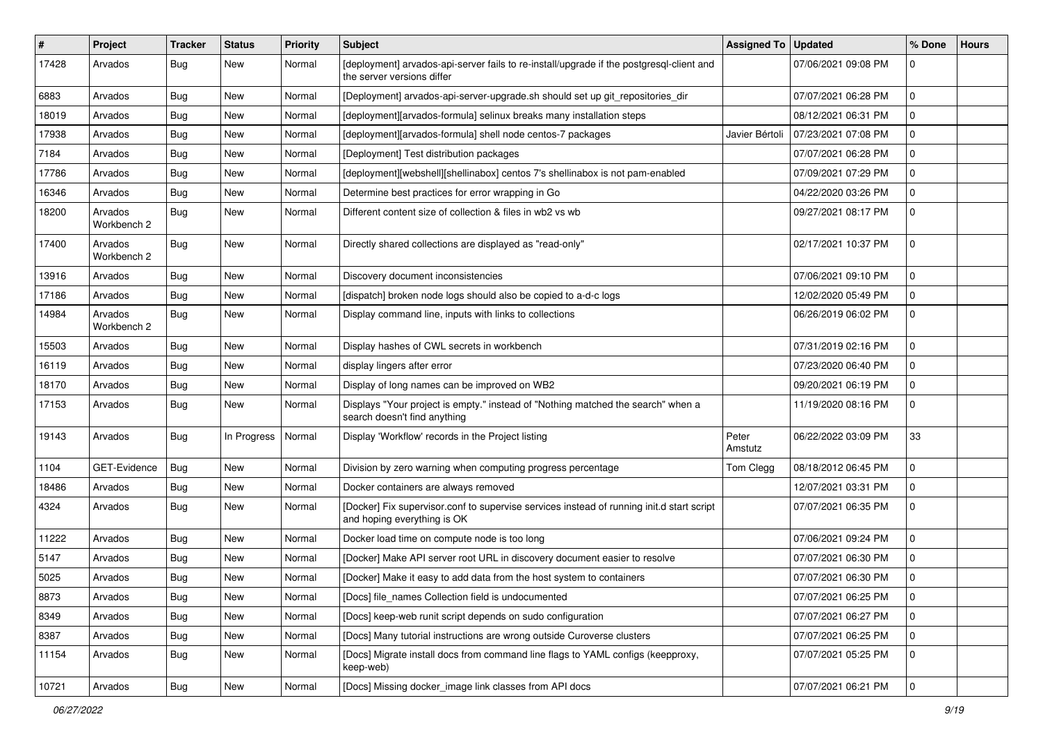| #     | Project                | <b>Tracker</b> | <b>Status</b> | <b>Priority</b> | <b>Subject</b>                                                                                                           | Assigned To      | <b>Updated</b>      | % Done       | <b>Hours</b> |
|-------|------------------------|----------------|---------------|-----------------|--------------------------------------------------------------------------------------------------------------------------|------------------|---------------------|--------------|--------------|
| 17428 | Arvados                | <b>Bug</b>     | <b>New</b>    | Normal          | [deployment] arvados-api-server fails to re-install/upgrade if the postgresql-client and<br>the server versions differ   |                  | 07/06/2021 09:08 PM | $\Omega$     |              |
| 6883  | Arvados                | <b>Bug</b>     | New           | Normal          | [Deployment] arvados-api-server-upgrade.sh should set up git repositories dir                                            |                  | 07/07/2021 06:28 PM | $\mathbf 0$  |              |
| 18019 | Arvados                | Bug            | <b>New</b>    | Normal          | Ideployment][arvados-formula] selinux breaks many installation steps                                                     |                  | 08/12/2021 06:31 PM | $\mathbf 0$  |              |
| 17938 | Arvados                | Bug            | <b>New</b>    | Normal          | [deployment][arvados-formula] shell node centos-7 packages                                                               | Javier Bértoli   | 07/23/2021 07:08 PM | $\mathbf 0$  |              |
| 7184  | Arvados                | <b>Bug</b>     | New           | Normal          | [Deployment] Test distribution packages                                                                                  |                  | 07/07/2021 06:28 PM | $\mathbf 0$  |              |
| 17786 | Arvados                | <b>Bug</b>     | <b>New</b>    | Normal          | [deployment][webshell][shellinabox] centos 7's shellinabox is not pam-enabled                                            |                  | 07/09/2021 07:29 PM | $\mathbf 0$  |              |
| 16346 | Arvados                | <b>Bug</b>     | New           | Normal          | Determine best practices for error wrapping in Go                                                                        |                  | 04/22/2020 03:26 PM | $\mathbf 0$  |              |
| 18200 | Arvados<br>Workbench 2 | <b>Bug</b>     | New           | Normal          | Different content size of collection & files in wb2 vs wb                                                                |                  | 09/27/2021 08:17 PM | $\mathbf 0$  |              |
| 17400 | Arvados<br>Workbench 2 | Bug            | New           | Normal          | Directly shared collections are displayed as "read-only"                                                                 |                  | 02/17/2021 10:37 PM | $\mathbf 0$  |              |
| 13916 | Arvados                | Bug            | New           | Normal          | Discovery document inconsistencies                                                                                       |                  | 07/06/2021 09:10 PM | $\mathbf 0$  |              |
| 17186 | Arvados                | Bug            | New           | Normal          | [dispatch] broken node logs should also be copied to a-d-c logs                                                          |                  | 12/02/2020 05:49 PM | 0            |              |
| 14984 | Arvados<br>Workbench 2 | <b>Bug</b>     | New           | Normal          | Display command line, inputs with links to collections                                                                   |                  | 06/26/2019 06:02 PM | $\mathbf{0}$ |              |
| 15503 | Arvados                | Bug            | <b>New</b>    | Normal          | Display hashes of CWL secrets in workbench                                                                               |                  | 07/31/2019 02:16 PM | $\mathbf{0}$ |              |
| 16119 | Arvados                | Bug            | <b>New</b>    | Normal          | display lingers after error                                                                                              |                  | 07/23/2020 06:40 PM | $\mathbf 0$  |              |
| 18170 | Arvados                | <b>Bug</b>     | New           | Normal          | Display of long names can be improved on WB2                                                                             |                  | 09/20/2021 06:19 PM | $\mathbf 0$  |              |
| 17153 | Arvados                | Bug            | New           | Normal          | Displays "Your project is empty." instead of "Nothing matched the search" when a<br>search doesn't find anything         |                  | 11/19/2020 08:16 PM | $\mathbf 0$  |              |
| 19143 | Arvados                | <b>Bug</b>     | In Progress   | Normal          | Display 'Workflow' records in the Project listing                                                                        | Peter<br>Amstutz | 06/22/2022 03:09 PM | 33           |              |
| 1104  | GET-Evidence           | Bug            | New           | Normal          | Division by zero warning when computing progress percentage                                                              | Tom Clegg        | 08/18/2012 06:45 PM | $\mathbf 0$  |              |
| 18486 | Arvados                | Bug            | New           | Normal          | Docker containers are always removed                                                                                     |                  | 12/07/2021 03:31 PM | $\mathbf{0}$ |              |
| 4324  | Arvados                | <b>Bug</b>     | New           | Normal          | [Docker] Fix supervisor.conf to supervise services instead of running init.d start script<br>and hoping everything is OK |                  | 07/07/2021 06:35 PM | $\mathbf 0$  |              |
| 11222 | Arvados                | <b>Bug</b>     | <b>New</b>    | Normal          | Docker load time on compute node is too long                                                                             |                  | 07/06/2021 09:24 PM | $\mathbf{0}$ |              |
| 5147  | Arvados                | <b>Bug</b>     | <b>New</b>    | Normal          | [Docker] Make API server root URL in discovery document easier to resolve                                                |                  | 07/07/2021 06:30 PM | $\mathbf 0$  |              |
| 5025  | Arvados                | Bug            | New           | Normal          | [Docker] Make it easy to add data from the host system to containers                                                     |                  | 07/07/2021 06:30 PM | $\mathbf 0$  |              |
| 8873  | Arvados                | <b>Bug</b>     | New           | Normal          | [Docs] file_names Collection field is undocumented                                                                       |                  | 07/07/2021 06:25 PM | l 0          |              |
| 8349  | Arvados                | <b>Bug</b>     | New           | Normal          | [Docs] keep-web runit script depends on sudo configuration                                                               |                  | 07/07/2021 06:27 PM | $\mathbf 0$  |              |
| 8387  | Arvados                | <b>Bug</b>     | New           | Normal          | [Docs] Many tutorial instructions are wrong outside Curoverse clusters                                                   |                  | 07/07/2021 06:25 PM | $\Omega$     |              |
| 11154 | Arvados                | Bug            | New           | Normal          | [Docs] Migrate install docs from command line flags to YAML configs (keepproxy,<br>keep-web)                             |                  | 07/07/2021 05:25 PM | 0            |              |
| 10721 | Arvados                | <b>Bug</b>     | New           | Normal          | [Docs] Missing docker_image link classes from API docs                                                                   |                  | 07/07/2021 06:21 PM | l 0          |              |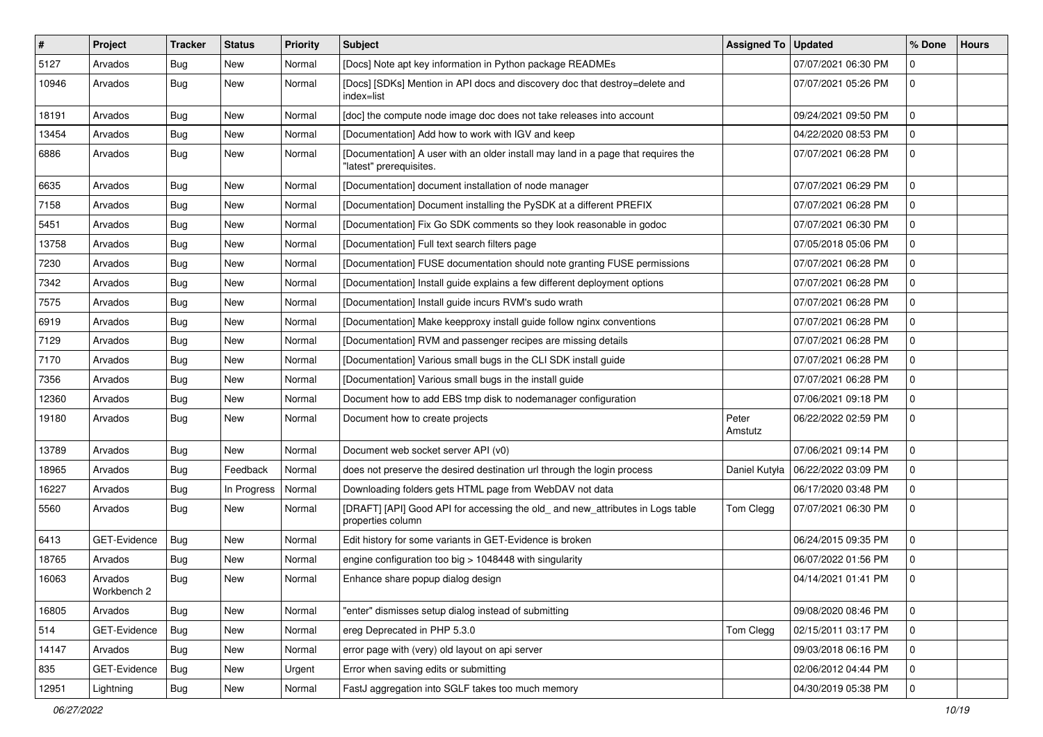| #     | Project                | <b>Tracker</b> | <b>Status</b> | Priority | <b>Subject</b>                                                                                               | Assigned To      | <b>Updated</b>      | % Done       | <b>Hours</b> |
|-------|------------------------|----------------|---------------|----------|--------------------------------------------------------------------------------------------------------------|------------------|---------------------|--------------|--------------|
| 5127  | Arvados                | Bug            | New           | Normal   | [Docs] Note apt key information in Python package READMEs                                                    |                  | 07/07/2021 06:30 PM | $\mathbf 0$  |              |
| 10946 | Arvados                | <b>Bug</b>     | <b>New</b>    | Normal   | [Docs] [SDKs] Mention in API docs and discovery doc that destroy=delete and<br>index=list                    |                  | 07/07/2021 05:26 PM | $\mathbf{0}$ |              |
| 18191 | Arvados                | <b>Bug</b>     | New           | Normal   | [doc] the compute node image doc does not take releases into account                                         |                  | 09/24/2021 09:50 PM | $\mathbf{0}$ |              |
| 13454 | Arvados                | Bug            | New           | Normal   | [Documentation] Add how to work with IGV and keep                                                            |                  | 04/22/2020 08:53 PM | $\mathbf 0$  |              |
| 6886  | Arvados                | <b>Bug</b>     | New           | Normal   | [Documentation] A user with an older install may land in a page that requires the<br>"latest" prerequisites. |                  | 07/07/2021 06:28 PM | $\mathbf 0$  |              |
| 6635  | Arvados                | <b>Bug</b>     | New           | Normal   | [Documentation] document installation of node manager                                                        |                  | 07/07/2021 06:29 PM | $\mathbf 0$  |              |
| 7158  | Arvados                | <b>Bug</b>     | New           | Normal   | [Documentation] Document installing the PySDK at a different PREFIX                                          |                  | 07/07/2021 06:28 PM | $\mathbf 0$  |              |
| 5451  | Arvados                | <b>Bug</b>     | <b>New</b>    | Normal   | [Documentation] Fix Go SDK comments so they look reasonable in godoc                                         |                  | 07/07/2021 06:30 PM | $\mathbf 0$  |              |
| 13758 | Arvados                | <b>Bug</b>     | New           | Normal   | [Documentation] Full text search filters page                                                                |                  | 07/05/2018 05:06 PM | $\mathbf 0$  |              |
| 7230  | Arvados                | <b>Bug</b>     | New           | Normal   | [Documentation] FUSE documentation should note granting FUSE permissions                                     |                  | 07/07/2021 06:28 PM | $\mathbf 0$  |              |
| 7342  | Arvados                | <b>Bug</b>     | <b>New</b>    | Normal   | [Documentation] Install guide explains a few different deployment options                                    |                  | 07/07/2021 06:28 PM | $\mathbf 0$  |              |
| 7575  | Arvados                | Bug            | New           | Normal   | [Documentation] Install guide incurs RVM's sudo wrath                                                        |                  | 07/07/2021 06:28 PM | $\mathbf 0$  |              |
| 6919  | Arvados                | <b>Bug</b>     | <b>New</b>    | Normal   | [Documentation] Make keepproxy install guide follow nginx conventions                                        |                  | 07/07/2021 06:28 PM | $\mathbf 0$  |              |
| 7129  | Arvados                | <b>Bug</b>     | New           | Normal   | [Documentation] RVM and passenger recipes are missing details                                                |                  | 07/07/2021 06:28 PM | 0            |              |
| 7170  | Arvados                | <b>Bug</b>     | <b>New</b>    | Normal   | [Documentation] Various small bugs in the CLI SDK install guide                                              |                  | 07/07/2021 06:28 PM | $\mathbf 0$  |              |
| 7356  | Arvados                | Bug            | <b>New</b>    | Normal   | [Documentation] Various small bugs in the install guide                                                      |                  | 07/07/2021 06:28 PM | $\mathbf 0$  |              |
| 12360 | Arvados                | <b>Bug</b>     | New           | Normal   | Document how to add EBS tmp disk to nodemanager configuration                                                |                  | 07/06/2021 09:18 PM | $\mathbf 0$  |              |
| 19180 | Arvados                | Bug            | New           | Normal   | Document how to create projects                                                                              | Peter<br>Amstutz | 06/22/2022 02:59 PM | $\mathbf 0$  |              |
| 13789 | Arvados                | <b>Bug</b>     | New           | Normal   | Document web socket server API (v0)                                                                          |                  | 07/06/2021 09:14 PM | $\mathbf 0$  |              |
| 18965 | Arvados                | <b>Bug</b>     | Feedback      | Normal   | does not preserve the desired destination url through the login process                                      | Daniel Kutyła    | 06/22/2022 03:09 PM | $\mathbf 0$  |              |
| 16227 | Arvados                | <b>Bug</b>     | In Progress   | Normal   | Downloading folders gets HTML page from WebDAV not data                                                      |                  | 06/17/2020 03:48 PM | 0            |              |
| 5560  | Arvados                | Bug            | New           | Normal   | [DRAFT] [API] Good API for accessing the old_ and new_attributes in Logs table<br>properties column          | Tom Clegg        | 07/07/2021 06:30 PM | $\mathbf 0$  |              |
| 6413  | GET-Evidence           | <b>Bug</b>     | New           | Normal   | Edit history for some variants in GET-Evidence is broken                                                     |                  | 06/24/2015 09:35 PM | $\mathbf 0$  |              |
| 18765 | Arvados                | <b>Bug</b>     | New           | Normal   | engine configuration too big > 1048448 with singularity                                                      |                  | 06/07/2022 01:56 PM | $\mathbf 0$  |              |
| 16063 | Arvados<br>Workbench 2 | <b>Bug</b>     | New           | Normal   | Enhance share popup dialog design                                                                            |                  | 04/14/2021 01:41 PM | $\mathbf 0$  |              |
| 16805 | Arvados                | Bug            | New           | Normal   | "enter" dismisses setup dialog instead of submitting                                                         |                  | 09/08/2020 08:46 PM | l 0          |              |
| 514   | GET-Evidence           | <b>Bug</b>     | New           | Normal   | ereg Deprecated in PHP 5.3.0                                                                                 | Tom Clegg        | 02/15/2011 03:17 PM | 0            |              |
| 14147 | Arvados                | Bug            | New           | Normal   | error page with (very) old layout on api server                                                              |                  | 09/03/2018 06:16 PM | $\mathbf 0$  |              |
| 835   | GET-Evidence           | Bug            | New           | Urgent   | Error when saving edits or submitting                                                                        |                  | 02/06/2012 04:44 PM | 0            |              |
| 12951 | Lightning              | Bug            | New           | Normal   | FastJ aggregation into SGLF takes too much memory                                                            |                  | 04/30/2019 05:38 PM | $\mathbf 0$  |              |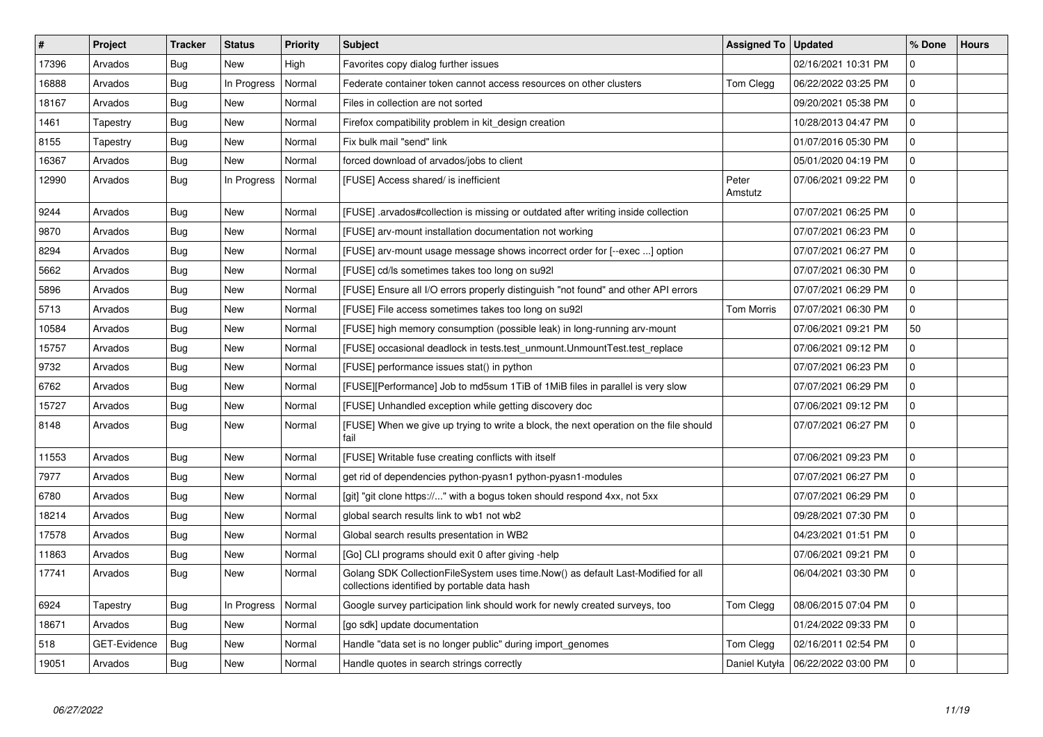| $\#$  | Project      | <b>Tracker</b> | <b>Status</b> | <b>Priority</b> | <b>Subject</b>                                                                                                                   | <b>Assigned To</b> | <b>Updated</b>      | % Done              | <b>Hours</b> |
|-------|--------------|----------------|---------------|-----------------|----------------------------------------------------------------------------------------------------------------------------------|--------------------|---------------------|---------------------|--------------|
| 17396 | Arvados      | <b>Bug</b>     | New           | High            | Favorites copy dialog further issues                                                                                             |                    | 02/16/2021 10:31 PM | $\Omega$            |              |
| 16888 | Arvados      | Bug            | In Progress   | Normal          | Federate container token cannot access resources on other clusters                                                               | Tom Clegg          | 06/22/2022 03:25 PM | $\mathbf 0$         |              |
| 18167 | Arvados      | <b>Bug</b>     | <b>New</b>    | Normal          | Files in collection are not sorted                                                                                               |                    | 09/20/2021 05:38 PM | $\Omega$            |              |
| 1461  | Tapestry     | Bug            | New           | Normal          | Firefox compatibility problem in kit design creation                                                                             |                    | 10/28/2013 04:47 PM | $\mathbf 0$         |              |
| 8155  | Tapestry     | <b>Bug</b>     | <b>New</b>    | Normal          | Fix bulk mail "send" link                                                                                                        |                    | 01/07/2016 05:30 PM | $\mathbf 0$         |              |
| 16367 | Arvados      | Bug            | <b>New</b>    | Normal          | forced download of arvados/jobs to client                                                                                        |                    | 05/01/2020 04:19 PM | $\mathbf 0$         |              |
| 12990 | Arvados      | <b>Bug</b>     | In Progress   | Normal          | [FUSE] Access shared/ is inefficient                                                                                             | Peter<br>Amstutz   | 07/06/2021 09:22 PM | $\Omega$            |              |
| 9244  | Arvados      | <b>Bug</b>     | <b>New</b>    | Normal          | [FUSE] arvados#collection is missing or outdated after writing inside collection                                                 |                    | 07/07/2021 06:25 PM | $\Omega$            |              |
| 9870  | Arvados      | Bug            | <b>New</b>    | Normal          | [FUSE] arv-mount installation documentation not working                                                                          |                    | 07/07/2021 06:23 PM | $\mathbf 0$         |              |
| 8294  | Arvados      | <b>Bug</b>     | New           | Normal          | [FUSE] arv-mount usage message shows incorrect order for [--exec ] option                                                        |                    | 07/07/2021 06:27 PM | $\mathbf 0$         |              |
| 5662  | Arvados      | Bug            | <b>New</b>    | Normal          | [FUSE] cd/ls sometimes takes too long on su921                                                                                   |                    | 07/07/2021 06:30 PM | $\mathbf 0$         |              |
| 5896  | Arvados      | <b>Bug</b>     | New           | Normal          | [FUSE] Ensure all I/O errors properly distinguish "not found" and other API errors                                               |                    | 07/07/2021 06:29 PM | $\mathsf{O}\xspace$ |              |
| 5713  | Arvados      | Bug            | New           | Normal          | [FUSE] File access sometimes takes too long on su92l                                                                             | <b>Tom Morris</b>  | 07/07/2021 06:30 PM | $\mathbf 0$         |              |
| 10584 | Arvados      | Bug            | New           | Normal          | [FUSE] high memory consumption (possible leak) in long-running arv-mount                                                         |                    | 07/06/2021 09:21 PM | 50                  |              |
| 15757 | Arvados      | Bug            | <b>New</b>    | Normal          | [FUSE] occasional deadlock in tests.test unmount.UnmountTest.test replace                                                        |                    | 07/06/2021 09:12 PM | $\mathbf 0$         |              |
| 9732  | Arvados      | Bug            | New           | Normal          | [FUSE] performance issues stat() in python                                                                                       |                    | 07/07/2021 06:23 PM | $\mathbf 0$         |              |
| 6762  | Arvados      | Bug            | New           | Normal          | [FUSE][Performance] Job to md5sum 1TiB of 1MiB files in parallel is very slow                                                    |                    | 07/07/2021 06:29 PM | $\mathbf{0}$        |              |
| 15727 | Arvados      | <b>Bug</b>     | New           | Normal          | [FUSE] Unhandled exception while getting discovery doc                                                                           |                    | 07/06/2021 09:12 PM | $\mathbf 0$         |              |
| 8148  | Arvados      | Bug            | <b>New</b>    | Normal          | [FUSE] When we give up trying to write a block, the next operation on the file should<br>fail                                    |                    | 07/07/2021 06:27 PM | $\mathbf 0$         |              |
| 11553 | Arvados      | Bug            | New           | Normal          | [FUSE] Writable fuse creating conflicts with itself                                                                              |                    | 07/06/2021 09:23 PM | $\mathbf{0}$        |              |
| 7977  | Arvados      | <b>Bug</b>     | <b>New</b>    | Normal          | get rid of dependencies python-pyasn1 python-pyasn1-modules                                                                      |                    | 07/07/2021 06:27 PM | $\mathbf 0$         |              |
| 6780  | Arvados      | Bug            | <b>New</b>    | Normal          | [git] "git clone https://" with a bogus token should respond 4xx, not 5xx                                                        |                    | 07/07/2021 06:29 PM | $\mathbf 0$         |              |
| 18214 | Arvados      | <b>Bug</b>     | <b>New</b>    | Normal          | global search results link to wb1 not wb2                                                                                        |                    | 09/28/2021 07:30 PM | $\mathbf 0$         |              |
| 17578 | Arvados      | <b>Bug</b>     | <b>New</b>    | Normal          | Global search results presentation in WB2                                                                                        |                    | 04/23/2021 01:51 PM | $\mathbf 0$         |              |
| 11863 | Arvados      | <b>Bug</b>     | <b>New</b>    | Normal          | [Go] CLI programs should exit 0 after giving -help                                                                               |                    | 07/06/2021 09:21 PM | $\Omega$            |              |
| 17741 | Arvados      | Bug            | <b>New</b>    | Normal          | Golang SDK CollectionFileSystem uses time.Now() as default Last-Modified for all<br>collections identified by portable data hash |                    | 06/04/2021 03:30 PM | $\Omega$            |              |
| 6924  | Tapestry     | Bug            | In Progress   | Normal          | Google survey participation link should work for newly created surveys, too                                                      | Tom Clegg          | 08/06/2015 07:04 PM | $\mathbf 0$         |              |
| 18671 | Arvados      | Bug            | New           | Normal          | [go sdk] update documentation                                                                                                    |                    | 01/24/2022 09:33 PM | $\Omega$            |              |
| 518   | GET-Evidence | Bug            | New           | Normal          | Handle "data set is no longer public" during import genomes                                                                      | Tom Clegg          | 02/16/2011 02:54 PM | $\mathbf 0$         |              |
| 19051 | Arvados      | <b>Bug</b>     | <b>New</b>    | Normal          | Handle quotes in search strings correctly                                                                                        | Daniel Kutyła      | 06/22/2022 03:00 PM | $\mathbf 0$         |              |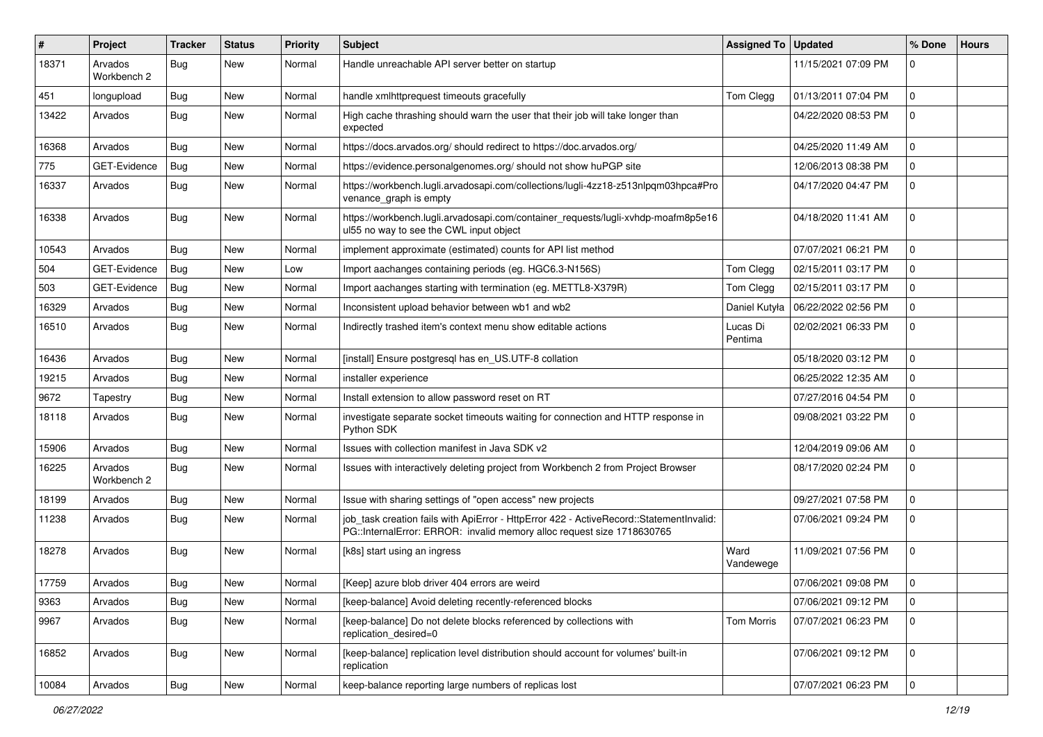| #     | <b>Project</b>         | Tracker    | <b>Status</b> | <b>Priority</b> | <b>Subject</b>                                                                                                                                                    | Assigned To   Updated |                     | % Done      | <b>Hours</b> |
|-------|------------------------|------------|---------------|-----------------|-------------------------------------------------------------------------------------------------------------------------------------------------------------------|-----------------------|---------------------|-------------|--------------|
| 18371 | Arvados<br>Workbench 2 | <b>Bug</b> | <b>New</b>    | Normal          | Handle unreachable API server better on startup                                                                                                                   |                       | 11/15/2021 07:09 PM | 0           |              |
| 451   | longupload             | <b>Bug</b> | New           | Normal          | handle xmlhttprequest timeouts gracefully                                                                                                                         | Tom Clegg             | 01/13/2011 07:04 PM | $\mathbf 0$ |              |
| 13422 | Arvados                | Bug        | New           | Normal          | High cache thrashing should warn the user that their job will take longer than<br>expected                                                                        |                       | 04/22/2020 08:53 PM | $\mathbf 0$ |              |
| 16368 | Arvados                | Bug        | New           | Normal          | https://docs.arvados.org/ should redirect to https://doc.arvados.org/                                                                                             |                       | 04/25/2020 11:49 AM | 0           |              |
| 775   | GET-Evidence           | Bug        | <b>New</b>    | Normal          | https://evidence.personalgenomes.org/ should not show huPGP site                                                                                                  |                       | 12/06/2013 08:38 PM | $\mathbf 0$ |              |
| 16337 | Arvados                | Bug        | New           | Normal          | https://workbench.lugli.arvadosapi.com/collections/lugli-4zz18-z513nlpqm03hpca#Pro<br>venance_graph is empty                                                      |                       | 04/17/2020 04:47 PM | $\mathbf 0$ |              |
| 16338 | Arvados                | Bug        | New           | Normal          | https://workbench.lugli.arvadosapi.com/container_requests/lugli-xvhdp-moafm8p5e16<br>ul55 no way to see the CWL input object                                      |                       | 04/18/2020 11:41 AM | $\mathbf 0$ |              |
| 10543 | Arvados                | Bug        | New           | Normal          | implement approximate (estimated) counts for API list method                                                                                                      |                       | 07/07/2021 06:21 PM | $\mathbf 0$ |              |
| 504   | GET-Evidence           | Bug        | New           | Low             | Import aachanges containing periods (eg. HGC6.3-N156S)                                                                                                            | Tom Clegg             | 02/15/2011 03:17 PM | $\mathbf 0$ |              |
| 503   | GET-Evidence           | Bug        | New           | Normal          | Import aachanges starting with termination (eg. METTL8-X379R)                                                                                                     | Tom Clegg             | 02/15/2011 03:17 PM | $\mathbf 0$ |              |
| 16329 | Arvados                | <b>Bug</b> | New           | Normal          | Inconsistent upload behavior between wb1 and wb2                                                                                                                  | Daniel Kutyła         | 06/22/2022 02:56 PM | $\mathbf 0$ |              |
| 16510 | Arvados                | Bug        | New           | Normal          | Indirectly trashed item's context menu show editable actions                                                                                                      | Lucas Di<br>Pentima   | 02/02/2021 06:33 PM | $\mathbf 0$ |              |
| 16436 | Arvados                | Bug        | New           | Normal          | [install] Ensure postgresgl has en US.UTF-8 collation                                                                                                             |                       | 05/18/2020 03:12 PM | $\mathbf 0$ |              |
| 19215 | Arvados                | <b>Bug</b> | New           | Normal          | installer experience                                                                                                                                              |                       | 06/25/2022 12:35 AM | $\mathbf 0$ |              |
| 9672  | Tapestry               | Bug        | New           | Normal          | Install extension to allow password reset on RT                                                                                                                   |                       | 07/27/2016 04:54 PM | $\mathbf 0$ |              |
| 18118 | Arvados                | Bug        | New           | Normal          | investigate separate socket timeouts waiting for connection and HTTP response in<br>Python SDK                                                                    |                       | 09/08/2021 03:22 PM | $\mathbf 0$ |              |
| 15906 | Arvados                | Bug        | New           | Normal          | Issues with collection manifest in Java SDK v2                                                                                                                    |                       | 12/04/2019 09:06 AM | $\mathbf 0$ |              |
| 16225 | Arvados<br>Workbench 2 | Bug        | New           | Normal          | Issues with interactively deleting project from Workbench 2 from Project Browser                                                                                  |                       | 08/17/2020 02:24 PM | 0           |              |
| 18199 | Arvados                | Bug        | New           | Normal          | Issue with sharing settings of "open access" new projects                                                                                                         |                       | 09/27/2021 07:58 PM | $\mathbf 0$ |              |
| 11238 | Arvados                | Bug        | New           | Normal          | job_task creation fails with ApiError - HttpError 422 - ActiveRecord::StatementInvalid:<br>PG::InternalError: ERROR: invalid memory alloc request size 1718630765 |                       | 07/06/2021 09:24 PM | 0           |              |
| 18278 | Arvados                | Bug        | New           | Normal          | [k8s] start using an ingress                                                                                                                                      | Ward<br>Vandewege     | 11/09/2021 07:56 PM | $\mathbf 0$ |              |
| 17759 | Arvados                | Bug        | New           | Normal          | [Keep] azure blob driver 404 errors are weird                                                                                                                     |                       | 07/06/2021 09:08 PM | $\mathbf 0$ |              |
| 9363  | Arvados                | <b>Bug</b> | New           | Normal          | [keep-balance] Avoid deleting recently-referenced blocks                                                                                                          |                       | 07/06/2021 09:12 PM | $\mathbf 0$ |              |
| 9967  | Arvados                | Bug        | New           | Normal          | [keep-balance] Do not delete blocks referenced by collections with<br>replication desired=0                                                                       | Tom Morris            | 07/07/2021 06:23 PM | l 0         |              |
| 16852 | Arvados                | <b>Bug</b> | New           | Normal          | [keep-balance] replication level distribution should account for volumes' built-in<br>replication                                                                 |                       | 07/06/2021 09:12 PM | 0           |              |
| 10084 | Arvados                | <b>Bug</b> | New           | Normal          | keep-balance reporting large numbers of replicas lost                                                                                                             |                       | 07/07/2021 06:23 PM | 0           |              |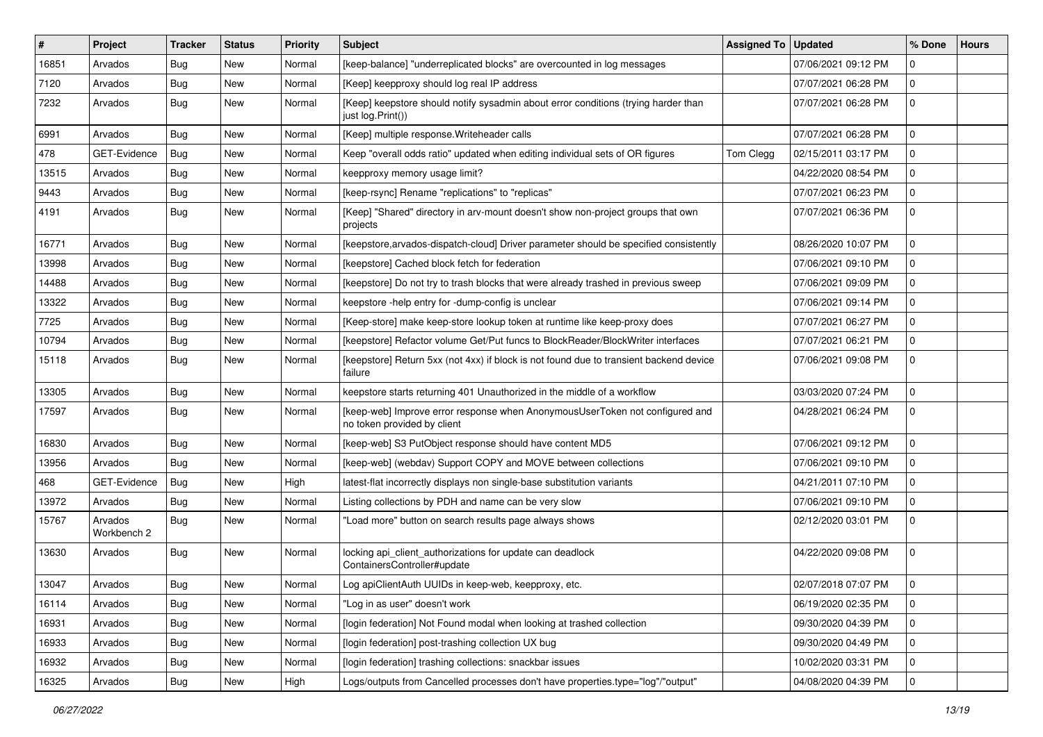| #     | Project                | <b>Tracker</b> | <b>Status</b> | <b>Priority</b> | <b>Subject</b>                                                                                              | <b>Assigned To</b> | <b>Updated</b>      | % Done       | <b>Hours</b> |
|-------|------------------------|----------------|---------------|-----------------|-------------------------------------------------------------------------------------------------------------|--------------------|---------------------|--------------|--------------|
| 16851 | Arvados                | <b>Bug</b>     | <b>New</b>    | Normal          | [keep-balance] "underreplicated blocks" are overcounted in log messages                                     |                    | 07/06/2021 09:12 PM | $\Omega$     |              |
| 7120  | Arvados                | Bug            | <b>New</b>    | Normal          | [Keep] keepproxy should log real IP address                                                                 |                    | 07/07/2021 06:28 PM | $\mathbf 0$  |              |
| 7232  | Arvados                | Bug            | <b>New</b>    | Normal          | [Keep] keepstore should notify sysadmin about error conditions (trying harder than<br>just log.Print())     |                    | 07/07/2021 06:28 PM | $\mathbf 0$  |              |
| 6991  | Arvados                | Bug            | <b>New</b>    | Normal          | [Keep] multiple response. Writeheader calls                                                                 |                    | 07/07/2021 06:28 PM | $\mathbf 0$  |              |
| 478   | GET-Evidence           | Bug            | New           | Normal          | Keep "overall odds ratio" updated when editing individual sets of OR figures                                | Tom Clegg          | 02/15/2011 03:17 PM | $\mathbf 0$  |              |
| 13515 | Arvados                | Bug            | <b>New</b>    | Normal          | keepproxy memory usage limit?                                                                               |                    | 04/22/2020 08:54 PM | $\mathbf 0$  |              |
| 9443  | Arvados                | <b>Bug</b>     | New           | Normal          | [keep-rsync] Rename "replications" to "replicas"                                                            |                    | 07/07/2021 06:23 PM | $\mathbf 0$  |              |
| 4191  | Arvados                | Bug            | New           | Normal          | [Keep] "Shared" directory in arv-mount doesn't show non-project groups that own<br>projects                 |                    | 07/07/2021 06:36 PM | $\mathbf 0$  |              |
| 16771 | Arvados                | Bug            | New           | Normal          | [keepstore, arvados-dispatch-cloud] Driver parameter should be specified consistently                       |                    | 08/26/2020 10:07 PM | $\mathbf 0$  |              |
| 13998 | Arvados                | Bug            | <b>New</b>    | Normal          | [keepstore] Cached block fetch for federation                                                               |                    | 07/06/2021 09:10 PM | $\mathbf 0$  |              |
| 14488 | Arvados                | Bug            | <b>New</b>    | Normal          | [keepstore] Do not try to trash blocks that were already trashed in previous sweep                          |                    | 07/06/2021 09:09 PM | $\mathbf 0$  |              |
| 13322 | Arvados                | <b>Bug</b>     | New           | Normal          | keepstore -help entry for -dump-config is unclear                                                           |                    | 07/06/2021 09:14 PM | $\mathbf 0$  |              |
| 7725  | Arvados                | Bug            | <b>New</b>    | Normal          | [Keep-store] make keep-store lookup token at runtime like keep-proxy does                                   |                    | 07/07/2021 06:27 PM | $\mathbf 0$  |              |
| 10794 | Arvados                | Bug            | New           | Normal          | [keepstore] Refactor volume Get/Put funcs to BlockReader/BlockWriter interfaces                             |                    | 07/07/2021 06:21 PM | $\mathbf 0$  |              |
| 15118 | Arvados                | Bug            | New           | Normal          | [keepstore] Return 5xx (not 4xx) if block is not found due to transient backend device<br>failure           |                    | 07/06/2021 09:08 PM | $\mathbf 0$  |              |
| 13305 | Arvados                | Bug            | <b>New</b>    | Normal          | keepstore starts returning 401 Unauthorized in the middle of a workflow                                     |                    | 03/03/2020 07:24 PM | 0            |              |
| 17597 | Arvados                | Bug            | New           | Normal          | [keep-web] Improve error response when AnonymousUserToken not configured and<br>no token provided by client |                    | 04/28/2021 06:24 PM | $\mathbf 0$  |              |
| 16830 | Arvados                | Bug            | New           | Normal          | [keep-web] S3 PutObject response should have content MD5                                                    |                    | 07/06/2021 09:12 PM | $\mathbf 0$  |              |
| 13956 | Arvados                | <b>Bug</b>     | <b>New</b>    | Normal          | [keep-web] (webdav) Support COPY and MOVE between collections                                               |                    | 07/06/2021 09:10 PM | $\mathbf 0$  |              |
| 468   | GET-Evidence           | Bug            | New           | High            | latest-flat incorrectly displays non single-base substitution variants                                      |                    | 04/21/2011 07:10 PM | $\mathbf 0$  |              |
| 13972 | Arvados                | Bug            | <b>New</b>    | Normal          | Listing collections by PDH and name can be very slow                                                        |                    | 07/06/2021 09:10 PM | $\mathbf 0$  |              |
| 15767 | Arvados<br>Workbench 2 | <b>Bug</b>     | New           | Normal          | "Load more" button on search results page always shows                                                      |                    | 02/12/2020 03:01 PM | 0            |              |
| 13630 | Arvados                | Bug            | New           | Normal          | locking api_client_authorizations for update can deadlock<br>ContainersController#update                    |                    | 04/22/2020 09:08 PM | $\mathbf 0$  |              |
| 13047 | Arvados                | Bug            | New           | Normal          | Log apiClientAuth UUIDs in keep-web, keepproxy, etc.                                                        |                    | 02/07/2018 07:07 PM | $\mathbf{0}$ |              |
| 16114 | Arvados                | Bug            | <b>New</b>    | Normal          | "Log in as user" doesn't work                                                                               |                    | 06/19/2020 02:35 PM | 0            |              |
| 16931 | Arvados                | <b>Bug</b>     | New           | Normal          | [login federation] Not Found modal when looking at trashed collection                                       |                    | 09/30/2020 04:39 PM | 0            |              |
| 16933 | Arvados                | <b>Bug</b>     | New           | Normal          | [login federation] post-trashing collection UX bug                                                          |                    | 09/30/2020 04:49 PM | $\mathbf 0$  |              |
| 16932 | Arvados                | Bug            | New           | Normal          | [login federation] trashing collections: snackbar issues                                                    |                    | 10/02/2020 03:31 PM | 0            |              |
| 16325 | Arvados                | Bug            | New           | High            | Logs/outputs from Cancelled processes don't have properties.type="log"/"output"                             |                    | 04/08/2020 04:39 PM | 0            |              |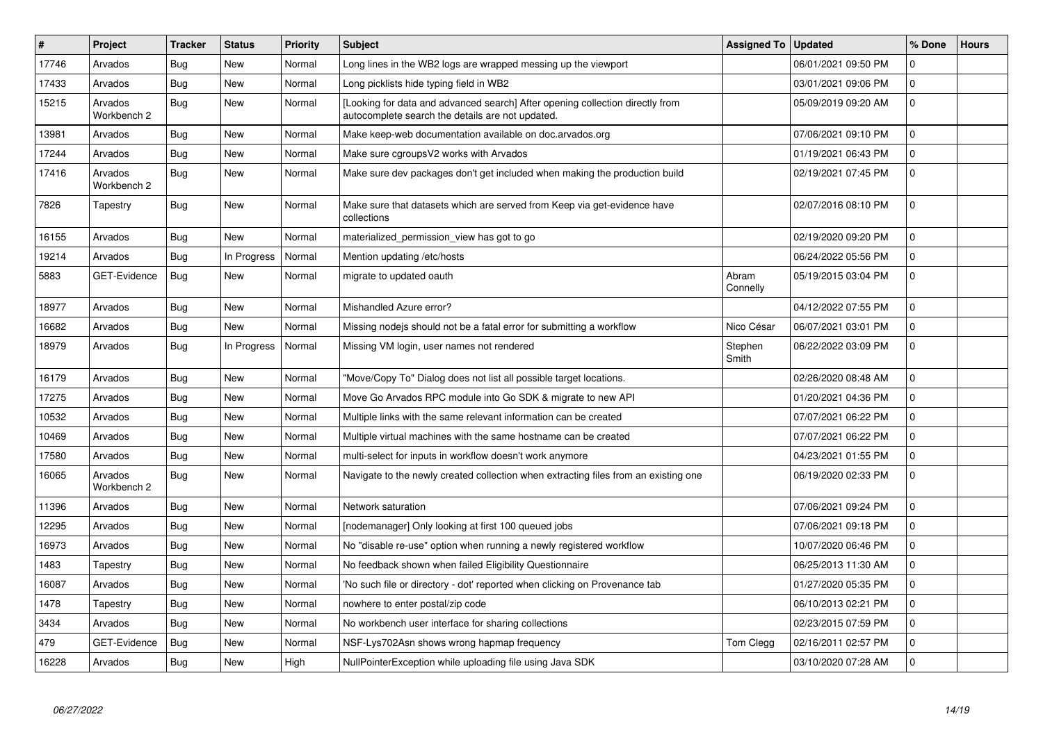| $\#$  | Project                | Tracker    | <b>Status</b> | <b>Priority</b> | <b>Subject</b>                                                                                                                    | <b>Assigned To</b> | <b>Updated</b>      | % Done              | <b>Hours</b> |
|-------|------------------------|------------|---------------|-----------------|-----------------------------------------------------------------------------------------------------------------------------------|--------------------|---------------------|---------------------|--------------|
| 17746 | Arvados                | Bug        | <b>New</b>    | Normal          | Long lines in the WB2 logs are wrapped messing up the viewport                                                                    |                    | 06/01/2021 09:50 PM | $\Omega$            |              |
| 17433 | Arvados                | Bug        | <b>New</b>    | Normal          | Long picklists hide typing field in WB2                                                                                           |                    | 03/01/2021 09:06 PM | $\mathbf 0$         |              |
| 15215 | Arvados<br>Workbench 2 | <b>Bug</b> | <b>New</b>    | Normal          | [Looking for data and advanced search] After opening collection directly from<br>autocomplete search the details are not updated. |                    | 05/09/2019 09:20 AM | $\Omega$            |              |
| 13981 | Arvados                | Bug        | <b>New</b>    | Normal          | Make keep-web documentation available on doc.arvados.org                                                                          |                    | 07/06/2021 09:10 PM | $\mathbf 0$         |              |
| 17244 | Arvados                | <b>Bug</b> | <b>New</b>    | Normal          | Make sure cgroups V2 works with Arvados                                                                                           |                    | 01/19/2021 06:43 PM | $\mathbf 0$         |              |
| 17416 | Arvados<br>Workbench 2 | <b>Bug</b> | New           | Normal          | Make sure dev packages don't get included when making the production build                                                        |                    | 02/19/2021 07:45 PM | $\mathbf 0$         |              |
| 7826  | Tapestry               | <b>Bug</b> | <b>New</b>    | Normal          | Make sure that datasets which are served from Keep via get-evidence have<br>collections                                           |                    | 02/07/2016 08:10 PM | $\Omega$            |              |
| 16155 | Arvados                | <b>Bug</b> | New           | Normal          | materialized_permission_view has got to go                                                                                        |                    | 02/19/2020 09:20 PM | $\mathbf 0$         |              |
| 19214 | Arvados                | Bug        | In Progress   | Normal          | Mention updating /etc/hosts                                                                                                       |                    | 06/24/2022 05:56 PM | $\mathbf 0$         |              |
| 5883  | <b>GET-Evidence</b>    | Bug        | New           | Normal          | migrate to updated oauth                                                                                                          | Abram<br>Connelly  | 05/19/2015 03:04 PM | $\mathbf 0$         |              |
| 18977 | Arvados                | Bug        | <b>New</b>    | Normal          | Mishandled Azure error?                                                                                                           |                    | 04/12/2022 07:55 PM | $\Omega$            |              |
| 16682 | Arvados                | <b>Bug</b> | New           | Normal          | Missing nodejs should not be a fatal error for submitting a workflow                                                              | Nico César         | 06/07/2021 03:01 PM | 0                   |              |
| 18979 | Arvados                | <b>Bug</b> | In Progress   | Normal          | Missing VM login, user names not rendered                                                                                         | Stephen<br>Smith   | 06/22/2022 03:09 PM | $\mathbf 0$         |              |
| 16179 | Arvados                | Bug        | New           | Normal          | "Move/Copy To" Dialog does not list all possible target locations.                                                                |                    | 02/26/2020 08:48 AM | $\mathbf 0$         |              |
| 17275 | Arvados                | <b>Bug</b> | New           | Normal          | Move Go Arvados RPC module into Go SDK & migrate to new API                                                                       |                    | 01/20/2021 04:36 PM | 0                   |              |
| 10532 | Arvados                | Bug        | New           | Normal          | Multiple links with the same relevant information can be created                                                                  |                    | 07/07/2021 06:22 PM | $\mathbf 0$         |              |
| 10469 | Arvados                | Bug        | New           | Normal          | Multiple virtual machines with the same hostname can be created                                                                   |                    | 07/07/2021 06:22 PM | $\Omega$            |              |
| 17580 | Arvados                | Bug        | New           | Normal          | multi-select for inputs in workflow doesn't work anymore                                                                          |                    | 04/23/2021 01:55 PM | $\mathbf 0$         |              |
| 16065 | Arvados<br>Workbench 2 | Bug        | New           | Normal          | Navigate to the newly created collection when extracting files from an existing one                                               |                    | 06/19/2020 02:33 PM | $\Omega$            |              |
| 11396 | Arvados                | Bug        | <b>New</b>    | Normal          | Network saturation                                                                                                                |                    | 07/06/2021 09:24 PM | $\Omega$            |              |
| 12295 | Arvados                | Bug        | New           | Normal          | [nodemanager] Only looking at first 100 queued jobs                                                                               |                    | 07/06/2021 09:18 PM | l 0                 |              |
| 16973 | Arvados                | <b>Bug</b> | New           | Normal          | No "disable re-use" option when running a newly registered workflow                                                               |                    | 10/07/2020 06:46 PM | $\mathsf{O}\xspace$ |              |
| 1483  | Tapestry               | Bug        | New           | Normal          | No feedback shown when failed Eligibility Questionnaire                                                                           |                    | 06/25/2013 11:30 AM | $\mathbf 0$         |              |
| 16087 | Arvados                | <b>Bug</b> | New           | Normal          | 'No such file or directory - dot' reported when clicking on Provenance tab                                                        |                    | 01/27/2020 05:35 PM | $\mathbf 0$         |              |
| 1478  | Tapestry               | Bug        | New           | Normal          | nowhere to enter postal/zip code                                                                                                  |                    | 06/10/2013 02:21 PM | $\mathbf 0$         |              |
| 3434  | Arvados                | Bug        | New           | Normal          | No workbench user interface for sharing collections                                                                               |                    | 02/23/2015 07:59 PM | $\mathbf 0$         |              |
| 479   | <b>GET-Evidence</b>    | Bug        | New           | Normal          | NSF-Lys702Asn shows wrong hapmap frequency                                                                                        | Tom Clegg          | 02/16/2011 02:57 PM | $\mathbf 0$         |              |
| 16228 | Arvados                | <b>Bug</b> | <b>New</b>    | High            | NullPointerException while uploading file using Java SDK                                                                          |                    | 03/10/2020 07:28 AM | $\mathbf 0$         |              |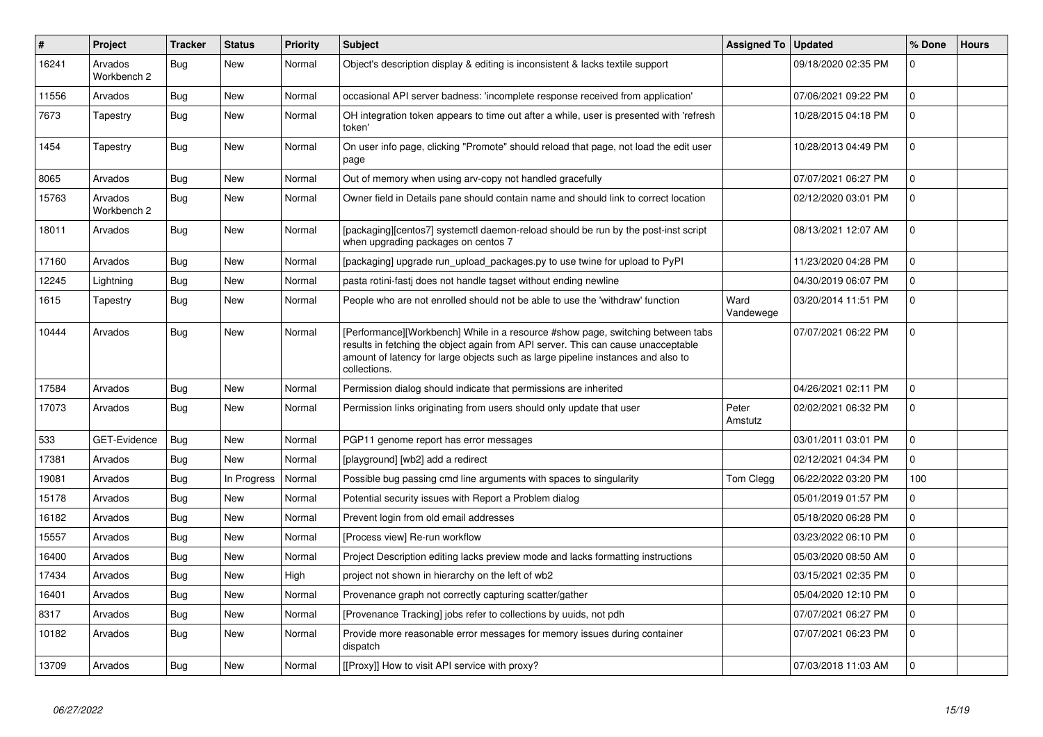| #     | Project                | <b>Tracker</b> | <b>Status</b> | <b>Priority</b> | <b>Subject</b>                                                                                                                                                                                                                                                           | <b>Assigned To</b> | <b>Updated</b>      | % Done              | <b>Hours</b> |
|-------|------------------------|----------------|---------------|-----------------|--------------------------------------------------------------------------------------------------------------------------------------------------------------------------------------------------------------------------------------------------------------------------|--------------------|---------------------|---------------------|--------------|
| 16241 | Arvados<br>Workbench 2 | Bug            | <b>New</b>    | Normal          | Object's description display & editing is inconsistent & lacks textile support                                                                                                                                                                                           |                    | 09/18/2020 02:35 PM | $\mathbf 0$         |              |
| 11556 | Arvados                | Bug            | <b>New</b>    | Normal          | occasional API server badness: 'incomplete response received from application'                                                                                                                                                                                           |                    | 07/06/2021 09:22 PM | $\mathbf 0$         |              |
| 7673  | Tapestry               | <b>Bug</b>     | <b>New</b>    | Normal          | OH integration token appears to time out after a while, user is presented with 'refresh<br>token'                                                                                                                                                                        |                    | 10/28/2015 04:18 PM | $\mathbf 0$         |              |
| 1454  | Tapestry               | Bug            | <b>New</b>    | Normal          | On user info page, clicking "Promote" should reload that page, not load the edit user<br>page                                                                                                                                                                            |                    | 10/28/2013 04:49 PM | $\Omega$            |              |
| 8065  | Arvados                | Bug            | <b>New</b>    | Normal          | Out of memory when using arv-copy not handled gracefully                                                                                                                                                                                                                 |                    | 07/07/2021 06:27 PM | $\mathbf 0$         |              |
| 15763 | Arvados<br>Workbench 2 | Bug            | <b>New</b>    | Normal          | Owner field in Details pane should contain name and should link to correct location                                                                                                                                                                                      |                    | 02/12/2020 03:01 PM | $\Omega$            |              |
| 18011 | Arvados                | <b>Bug</b>     | <b>New</b>    | Normal          | [packaging][centos7] systemctl daemon-reload should be run by the post-inst script<br>when upgrading packages on centos 7                                                                                                                                                |                    | 08/13/2021 12:07 AM | $\Omega$            |              |
| 17160 | Arvados                | Bug            | New           | Normal          | [packaging] upgrade run_upload_packages.py to use twine for upload to PyPI                                                                                                                                                                                               |                    | 11/23/2020 04:28 PM | $\mathsf{O}\xspace$ |              |
| 12245 | Lightning              | Bug            | <b>New</b>    | Normal          | pasta rotini-fasti does not handle tagset without ending newline                                                                                                                                                                                                         |                    | 04/30/2019 06:07 PM | $\mathbf 0$         |              |
| 1615  | Tapestry               | <b>Bug</b>     | <b>New</b>    | Normal          | People who are not enrolled should not be able to use the 'withdraw' function                                                                                                                                                                                            | Ward<br>Vandewege  | 03/20/2014 11:51 PM | $\mathbf 0$         |              |
| 10444 | Arvados                | <b>Bug</b>     | <b>New</b>    | Normal          | [Performance][Workbench] While in a resource #show page, switching between tabs<br>results in fetching the object again from API server. This can cause unacceptable<br>amount of latency for large objects such as large pipeline instances and also to<br>collections. |                    | 07/07/2021 06:22 PM | $\mathbf 0$         |              |
| 17584 | Arvados                | <b>Bug</b>     | <b>New</b>    | Normal          | Permission dialog should indicate that permissions are inherited                                                                                                                                                                                                         |                    | 04/26/2021 02:11 PM | $\mathbf 0$         |              |
| 17073 | Arvados                | Bug            | <b>New</b>    | Normal          | Permission links originating from users should only update that user                                                                                                                                                                                                     | Peter<br>Amstutz   | 02/02/2021 06:32 PM | $\overline{0}$      |              |
| 533   | GET-Evidence           | <b>Bug</b>     | <b>New</b>    | Normal          | PGP11 genome report has error messages                                                                                                                                                                                                                                   |                    | 03/01/2011 03:01 PM | $\mathbf 0$         |              |
| 17381 | Arvados                | <b>Bug</b>     | <b>New</b>    | Normal          | [playground] [wb2] add a redirect                                                                                                                                                                                                                                        |                    | 02/12/2021 04:34 PM | $\mathbf 0$         |              |
| 19081 | Arvados                | Bug            | In Progress   | Normal          | Possible bug passing cmd line arguments with spaces to singularity                                                                                                                                                                                                       | Tom Clegg          | 06/22/2022 03:20 PM | 100                 |              |
| 15178 | Arvados                | <b>Bug</b>     | <b>New</b>    | Normal          | Potential security issues with Report a Problem dialog                                                                                                                                                                                                                   |                    | 05/01/2019 01:57 PM | $\Omega$            |              |
| 16182 | Arvados                | Bug            | <b>New</b>    | Normal          | Prevent login from old email addresses                                                                                                                                                                                                                                   |                    | 05/18/2020 06:28 PM | $\mathbf 0$         |              |
| 15557 | Arvados                | Bug            | <b>New</b>    | Normal          | [Process view] Re-run workflow                                                                                                                                                                                                                                           |                    | 03/23/2022 06:10 PM | 0                   |              |
| 16400 | Arvados                | Bug            | <b>New</b>    | Normal          | Project Description editing lacks preview mode and lacks formatting instructions                                                                                                                                                                                         |                    | 05/03/2020 08:50 AM | $\mathbf 0$         |              |
| 17434 | Arvados                | Bug            | <b>New</b>    | High            | project not shown in hierarchy on the left of wb2                                                                                                                                                                                                                        |                    | 03/15/2021 02:35 PM | $\mathbf 0$         |              |
| 16401 | Arvados                | <b>Bug</b>     | <b>New</b>    | Normal          | Provenance graph not correctly capturing scatter/gather                                                                                                                                                                                                                  |                    | 05/04/2020 12:10 PM | $\mathbf 0$         |              |
| 8317  | Arvados                | Bug            | <b>New</b>    | Normal          | [Provenance Tracking] jobs refer to collections by uuids, not pdh                                                                                                                                                                                                        |                    | 07/07/2021 06:27 PM | 0                   |              |
| 10182 | Arvados                | <b>Bug</b>     | <b>New</b>    | Normal          | Provide more reasonable error messages for memory issues during container<br>dispatch                                                                                                                                                                                    |                    | 07/07/2021 06:23 PM | $\mathbf 0$         |              |
| 13709 | Arvados                | Bug            | <b>New</b>    | Normal          | [[Proxy]] How to visit API service with proxy?                                                                                                                                                                                                                           |                    | 07/03/2018 11:03 AM | $\overline{0}$      |              |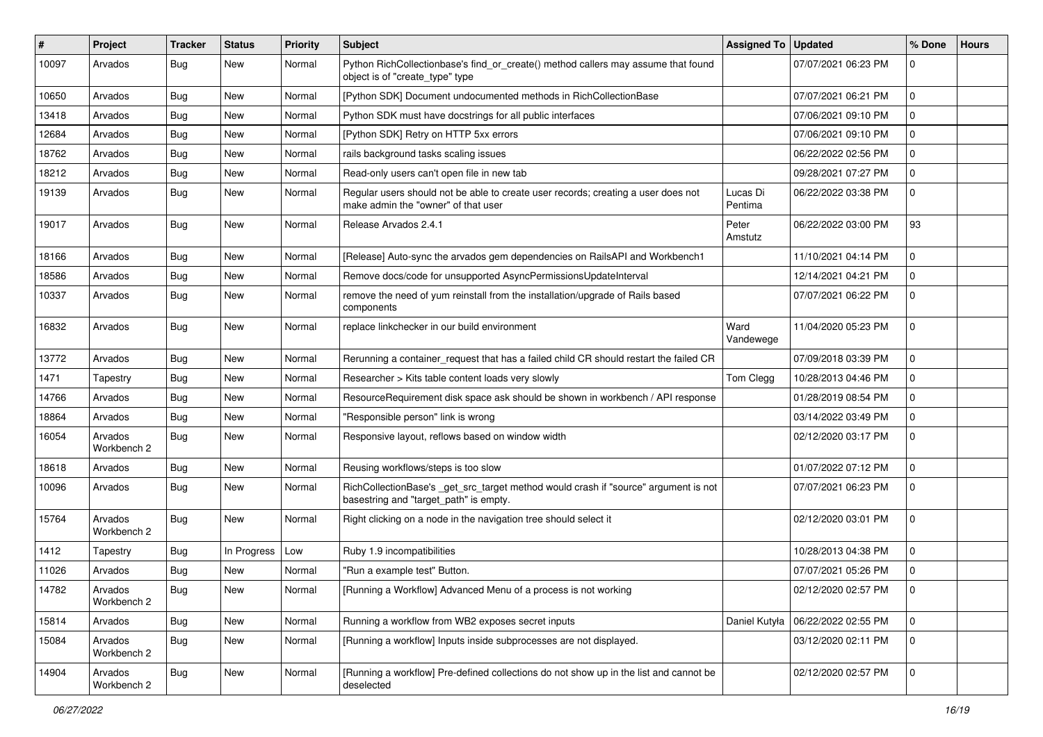| #     | Project                | <b>Tracker</b> | <b>Status</b> | Priority | <b>Subject</b>                                                                                                                | <b>Assigned To</b>  | <b>Updated</b>      | % Done      | <b>Hours</b> |
|-------|------------------------|----------------|---------------|----------|-------------------------------------------------------------------------------------------------------------------------------|---------------------|---------------------|-------------|--------------|
| 10097 | Arvados                | <b>Bug</b>     | New           | Normal   | Python RichCollectionbase's find_or_create() method callers may assume that found<br>object is of "create_type" type          |                     | 07/07/2021 06:23 PM | $\mathbf 0$ |              |
| 10650 | Arvados                | <b>Bug</b>     | <b>New</b>    | Normal   | [Python SDK] Document undocumented methods in RichCollectionBase                                                              |                     | 07/07/2021 06:21 PM | $\mathbf 0$ |              |
| 13418 | Arvados                | <b>Bug</b>     | New           | Normal   | Python SDK must have docstrings for all public interfaces                                                                     |                     | 07/06/2021 09:10 PM | $\mathbf 0$ |              |
| 12684 | Arvados                | <b>Bug</b>     | <b>New</b>    | Normal   | [Python SDK] Retry on HTTP 5xx errors                                                                                         |                     | 07/06/2021 09:10 PM | 0           |              |
| 18762 | Arvados                | Bug            | New           | Normal   | rails background tasks scaling issues                                                                                         |                     | 06/22/2022 02:56 PM | 0           |              |
| 18212 | Arvados                | <b>Bug</b>     | <b>New</b>    | Normal   | Read-only users can't open file in new tab                                                                                    |                     | 09/28/2021 07:27 PM | $\mathbf 0$ |              |
| 19139 | Arvados                | <b>Bug</b>     | New           | Normal   | Regular users should not be able to create user records; creating a user does not<br>make admin the "owner" of that user      | Lucas Di<br>Pentima | 06/22/2022 03:38 PM | $\mathbf 0$ |              |
| 19017 | Arvados                | <b>Bug</b>     | New           | Normal   | Release Arvados 2.4.1                                                                                                         | Peter<br>Amstutz    | 06/22/2022 03:00 PM | 93          |              |
| 18166 | Arvados                | Bug            | New           | Normal   | [Release] Auto-sync the arvados gem dependencies on RailsAPI and Workbench1                                                   |                     | 11/10/2021 04:14 PM | $\mathbf 0$ |              |
| 18586 | Arvados                | <b>Bug</b>     | <b>New</b>    | Normal   | Remove docs/code for unsupported AsyncPermissionsUpdateInterval                                                               |                     | 12/14/2021 04:21 PM | 0           |              |
| 10337 | Arvados                | <b>Bug</b>     | New           | Normal   | remove the need of yum reinstall from the installation/upgrade of Rails based<br>components                                   |                     | 07/07/2021 06:22 PM | 0           |              |
| 16832 | Arvados                | <b>Bug</b>     | New           | Normal   | replace linkchecker in our build environment                                                                                  | Ward<br>Vandewege   | 11/04/2020 05:23 PM | $\mathbf 0$ |              |
| 13772 | Arvados                | Bug            | <b>New</b>    | Normal   | Rerunning a container_request that has a failed child CR should restart the failed CR                                         |                     | 07/09/2018 03:39 PM | $\mathbf 0$ |              |
| 1471  | Tapestry               | Bug            | New           | Normal   | Researcher > Kits table content loads very slowly                                                                             | Tom Clegg           | 10/28/2013 04:46 PM | $\mathbf 0$ |              |
| 14766 | Arvados                | <b>Bug</b>     | New           | Normal   | ResourceRequirement disk space ask should be shown in workbench / API response                                                |                     | 01/28/2019 08:54 PM | 0           |              |
| 18864 | Arvados                | Bug            | New           | Normal   | "Responsible person" link is wrong                                                                                            |                     | 03/14/2022 03:49 PM | 0           |              |
| 16054 | Arvados<br>Workbench 2 | <b>Bug</b>     | New           | Normal   | Responsive layout, reflows based on window width                                                                              |                     | 02/12/2020 03:17 PM | 0           |              |
| 18618 | Arvados                | <b>Bug</b>     | New           | Normal   | Reusing workflows/steps is too slow                                                                                           |                     | 01/07/2022 07:12 PM | $\mathbf 0$ |              |
| 10096 | Arvados                | <b>Bug</b>     | New           | Normal   | RichCollectionBase's _get_src_target method would crash if "source" argument is not<br>basestring and "target_path" is empty. |                     | 07/07/2021 06:23 PM | $\mathbf 0$ |              |
| 15764 | Arvados<br>Workbench 2 | <b>Bug</b>     | New           | Normal   | Right clicking on a node in the navigation tree should select it                                                              |                     | 02/12/2020 03:01 PM | $\mathbf 0$ |              |
| 1412  | Tapestry               | Bug            | In Progress   | Low      | Ruby 1.9 incompatibilities                                                                                                    |                     | 10/28/2013 04:38 PM | $\mathbf 0$ |              |
| 11026 | Arvados                | <b>Bug</b>     | New           | Normal   | "Run a example test" Button.                                                                                                  |                     | 07/07/2021 05:26 PM | 0           |              |
| 14782 | Arvados<br>Workbench 2 | <b>Bug</b>     | New           | Normal   | [Running a Workflow] Advanced Menu of a process is not working                                                                |                     | 02/12/2020 02:57 PM |             |              |
| 15814 | Arvados                | Bug            | New           | Normal   | Running a workflow from WB2 exposes secret inputs                                                                             | Daniel Kutyła       | 06/22/2022 02:55 PM | $\mathbf 0$ |              |
| 15084 | Arvados<br>Workbench 2 | Bug            | New           | Normal   | [Running a workflow] Inputs inside subprocesses are not displayed.                                                            |                     | 03/12/2020 02:11 PM | 0           |              |
| 14904 | Arvados<br>Workbench 2 | <b>Bug</b>     | New           | Normal   | [Running a workflow] Pre-defined collections do not show up in the list and cannot be<br>deselected                           |                     | 02/12/2020 02:57 PM | $\mathbf 0$ |              |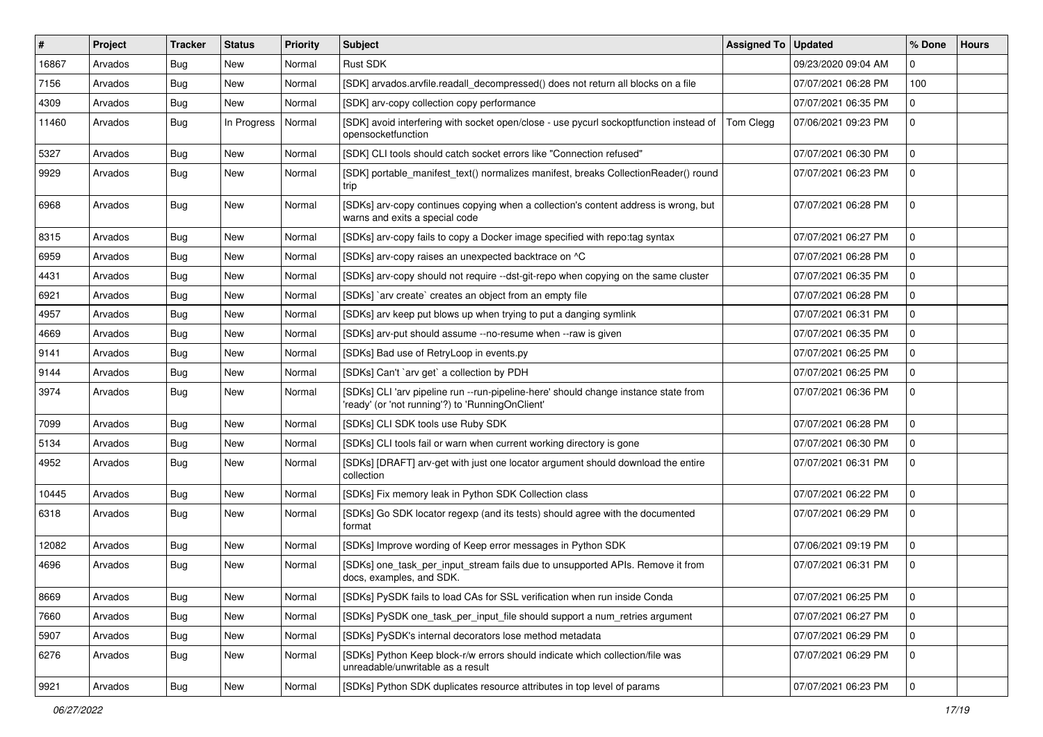| #     | <b>Project</b> | <b>Tracker</b> | <b>Status</b> | <b>Priority</b> | <b>Subject</b>                                                                                                                          | Assigned To | <b>Updated</b>      | % Done         | <b>Hours</b> |
|-------|----------------|----------------|---------------|-----------------|-----------------------------------------------------------------------------------------------------------------------------------------|-------------|---------------------|----------------|--------------|
| 16867 | Arvados        | <b>Bug</b>     | <b>New</b>    | Normal          | Rust SDK                                                                                                                                |             | 09/23/2020 09:04 AM | $\Omega$       |              |
| 7156  | Arvados        | Bug            | <b>New</b>    | Normal          | [SDK] arvados.arvfile.readall_decompressed() does not return all blocks on a file                                                       |             | 07/07/2021 06:28 PM | 100            |              |
| 4309  | Arvados        | <b>Bug</b>     | <b>New</b>    | Normal          | [SDK] arv-copy collection copy performance                                                                                              |             | 07/07/2021 06:35 PM | $\mathbf{0}$   |              |
| 11460 | Arvados        | Bug            | In Progress   | Normal          | [SDK] avoid interfering with socket open/close - use pycurl sockoptfunction instead of<br>opensocketfunction                            | Tom Clegg   | 07/06/2021 09:23 PM | $\mathbf{0}$   |              |
| 5327  | Arvados        | <b>Bug</b>     | New           | Normal          | [SDK] CLI tools should catch socket errors like "Connection refused"                                                                    |             | 07/07/2021 06:30 PM | 0              |              |
| 9929  | Arvados        | <b>Bug</b>     | New           | Normal          | [SDK] portable_manifest_text() normalizes manifest, breaks CollectionReader() round<br>trip                                             |             | 07/07/2021 06:23 PM | $\mathbf 0$    |              |
| 6968  | Arvados        | <b>Bug</b>     | New           | Normal          | [SDKs] arv-copy continues copying when a collection's content address is wrong, but<br>warns and exits a special code                   |             | 07/07/2021 06:28 PM | $\mathbf 0$    |              |
| 8315  | Arvados        | <b>Bug</b>     | New           | Normal          | [SDKs] arv-copy fails to copy a Docker image specified with repo:tag syntax                                                             |             | 07/07/2021 06:27 PM | $\mathbf 0$    |              |
| 6959  | Arvados        | Bug            | New           | Normal          | [SDKs] arv-copy raises an unexpected backtrace on ^C                                                                                    |             | 07/07/2021 06:28 PM | $\mathbf 0$    |              |
| 4431  | Arvados        | <b>Bug</b>     | New           | Normal          | [SDKs] arv-copy should not require --dst-git-repo when copying on the same cluster                                                      |             | 07/07/2021 06:35 PM | $\mathbf 0$    |              |
| 6921  | Arvados        | Bug            | New           | Normal          | [SDKs] `arv create` creates an object from an empty file                                                                                |             | 07/07/2021 06:28 PM | 0              |              |
| 4957  | Arvados        | <b>Bug</b>     | <b>New</b>    | Normal          | [SDKs] arv keep put blows up when trying to put a danging symlink                                                                       |             | 07/07/2021 06:31 PM | $\mathbf 0$    |              |
| 4669  | Arvados        | <b>Bug</b>     | New           | Normal          | [SDKs] arv-put should assume --no-resume when --raw is given                                                                            |             | 07/07/2021 06:35 PM | 0              |              |
| 9141  | Arvados        | <b>Bug</b>     | New           | Normal          | [SDKs] Bad use of RetryLoop in events.py                                                                                                |             | 07/07/2021 06:25 PM | 0              |              |
| 9144  | Arvados        | Bug            | New           | Normal          | [SDKs] Can't `arv get` a collection by PDH                                                                                              |             | 07/07/2021 06:25 PM | $\mathbf 0$    |              |
| 3974  | Arvados        | <b>Bug</b>     | New           | Normal          | [SDKs] CLI 'arv pipeline run --run-pipeline-here' should change instance state from<br>'ready' (or 'not running'?) to 'RunningOnClient' |             | 07/07/2021 06:36 PM | $\mathbf 0$    |              |
| 7099  | Arvados        | <b>Bug</b>     | New           | Normal          | [SDKs] CLI SDK tools use Ruby SDK                                                                                                       |             | 07/07/2021 06:28 PM | $\mathbf 0$    |              |
| 5134  | Arvados        | <b>Bug</b>     | New           | Normal          | [SDKs] CLI tools fail or warn when current working directory is gone                                                                    |             | 07/07/2021 06:30 PM | $\mathbf 0$    |              |
| 4952  | Arvados        | <b>Bug</b>     | New           | Normal          | [SDKs] [DRAFT] arv-get with just one locator argument should download the entire<br>collection                                          |             | 07/07/2021 06:31 PM | $\mathbf 0$    |              |
| 10445 | Arvados        | <b>Bug</b>     | New           | Normal          | [SDKs] Fix memory leak in Python SDK Collection class                                                                                   |             | 07/07/2021 06:22 PM | $\Omega$       |              |
| 6318  | Arvados        | Bug            | New           | Normal          | [SDKs] Go SDK locator regexp (and its tests) should agree with the documented<br>format                                                 |             | 07/07/2021 06:29 PM | $\mathbf 0$    |              |
| 12082 | Arvados        | <b>Bug</b>     | New           | Normal          | [SDKs] Improve wording of Keep error messages in Python SDK                                                                             |             | 07/06/2021 09:19 PM | $\mathbf 0$    |              |
| 4696  | Arvados        | <b>Bug</b>     | New           | Normal          | [SDKs] one_task_per_input_stream fails due to unsupported APIs. Remove it from<br>docs, examples, and SDK.                              |             | 07/07/2021 06:31 PM | 0              |              |
| 8669  | Arvados        | <b>Bug</b>     | New           | Normal          | [SDKs] PySDK fails to load CAs for SSL verification when run inside Conda                                                               |             | 07/07/2021 06:25 PM | 0              |              |
| 7660  | Arvados        | <b>Bug</b>     | New           | Normal          | [SDKs] PySDK one_task_per_input_file should support a num_retries argument                                                              |             | 07/07/2021 06:27 PM | $\mathbf 0$    |              |
| 5907  | Arvados        | <b>Bug</b>     | New           | Normal          | [SDKs] PySDK's internal decorators lose method metadata                                                                                 |             | 07/07/2021 06:29 PM | $\mathbf 0$    |              |
| 6276  | Arvados        | <b>Bug</b>     | New           | Normal          | [SDKs] Python Keep block-r/w errors should indicate which collection/file was<br>unreadable/unwritable as a result                      |             | 07/07/2021 06:29 PM | $\mathbf 0$    |              |
| 9921  | Arvados        | <b>Bug</b>     | New           | Normal          | [SDKs] Python SDK duplicates resource attributes in top level of params                                                                 |             | 07/07/2021 06:23 PM | $\overline{0}$ |              |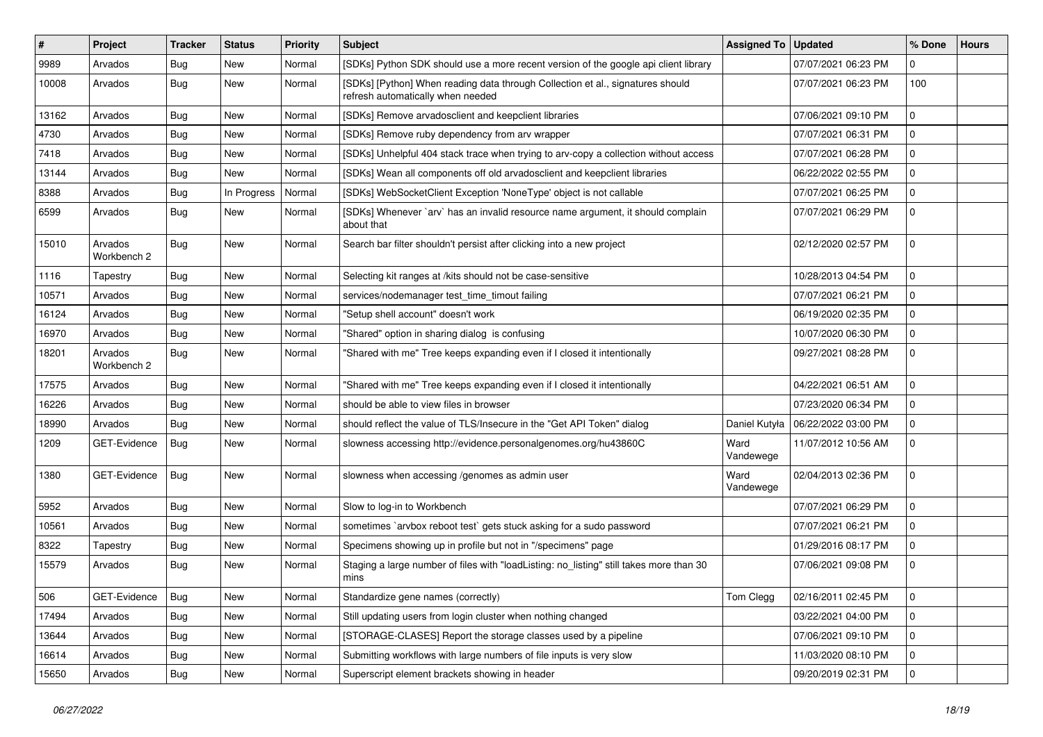| $\vert$ # | Project                | <b>Tracker</b> | <b>Status</b> | Priority | <b>Subject</b>                                                                                                      | Assigned To   Updated |                     | % Done         | <b>Hours</b> |
|-----------|------------------------|----------------|---------------|----------|---------------------------------------------------------------------------------------------------------------------|-----------------------|---------------------|----------------|--------------|
| 9989      | Arvados                | <b>Bug</b>     | <b>New</b>    | Normal   | [SDKs] Python SDK should use a more recent version of the google api client library                                 |                       | 07/07/2021 06:23 PM | $\Omega$       |              |
| 10008     | Arvados                | Bug            | <b>New</b>    | Normal   | [SDKs] [Python] When reading data through Collection et al., signatures should<br>refresh automatically when needed |                       | 07/07/2021 06:23 PM | 100            |              |
| 13162     | Arvados                | Bug            | <b>New</b>    | Normal   | [SDKs] Remove arvadosclient and keepclient libraries                                                                |                       | 07/06/2021 09:10 PM | $\Omega$       |              |
| 4730      | Arvados                | Bug            | <b>New</b>    | Normal   | [SDKs] Remove ruby dependency from arv wrapper                                                                      |                       | 07/07/2021 06:31 PM | $\mathbf 0$    |              |
| 7418      | Arvados                | <b>Bug</b>     | <b>New</b>    | Normal   | [SDKs] Unhelpful 404 stack trace when trying to arv-copy a collection without access                                |                       | 07/07/2021 06:28 PM | $\mathbf 0$    |              |
| 13144     | Arvados                | Bug            | <b>New</b>    | Normal   | [SDKs] Wean all components off old arvadosclient and keepclient libraries                                           |                       | 06/22/2022 02:55 PM | $\mathbf{0}$   |              |
| 8388      | Arvados                | <b>Bug</b>     | In Progress   | Normal   | [SDKs] WebSocketClient Exception 'NoneType' object is not callable                                                  |                       | 07/07/2021 06:25 PM | $\mathbf 0$    |              |
| 6599      | Arvados                | Bug            | New           | Normal   | [SDKs] Whenever `arv` has an invalid resource name argument, it should complain<br>about that                       |                       | 07/07/2021 06:29 PM | $\mathbf 0$    |              |
| 15010     | Arvados<br>Workbench 2 | Bug            | New           | Normal   | Search bar filter shouldn't persist after clicking into a new project                                               |                       | 02/12/2020 02:57 PM | $\mathbf 0$    |              |
| 1116      | Tapestry               | Bug            | <b>New</b>    | Normal   | Selecting kit ranges at /kits should not be case-sensitive                                                          |                       | 10/28/2013 04:54 PM | $\mathbf 0$    |              |
| 10571     | Arvados                | <b>Bug</b>     | <b>New</b>    | Normal   | services/nodemanager test time timout failing                                                                       |                       | 07/07/2021 06:21 PM | $\mathbf 0$    |              |
| 16124     | Arvados                | Bug            | <b>New</b>    | Normal   | "Setup shell account" doesn't work                                                                                  |                       | 06/19/2020 02:35 PM | $\mathbf 0$    |              |
| 16970     | Arvados                | <b>Bug</b>     | <b>New</b>    | Normal   | "Shared" option in sharing dialog is confusing                                                                      |                       | 10/07/2020 06:30 PM | $\mathbf 0$    |              |
| 18201     | Arvados<br>Workbench 2 | Bug            | New           | Normal   | "Shared with me" Tree keeps expanding even if I closed it intentionally                                             |                       | 09/27/2021 08:28 PM | $\mathbf{0}$   |              |
| 17575     | Arvados                | Bug            | New           | Normal   | "Shared with me" Tree keeps expanding even if I closed it intentionally                                             |                       | 04/22/2021 06:51 AM | $\mathbf 0$    |              |
| 16226     | Arvados                | Bug            | <b>New</b>    | Normal   | should be able to view files in browser                                                                             |                       | 07/23/2020 06:34 PM | $\mathbf 0$    |              |
| 18990     | Arvados                | Bug            | <b>New</b>    | Normal   | should reflect the value of TLS/Insecure in the "Get API Token" dialog                                              | Daniel Kutyła         | 06/22/2022 03:00 PM | $\mathbf 0$    |              |
| 1209      | GET-Evidence           | Bug            | New           | Normal   | slowness accessing http://evidence.personalgenomes.org/hu43860C                                                     | Ward<br>Vandewege     | 11/07/2012 10:56 AM | $\mathbf 0$    |              |
| 1380      | GET-Evidence           | <b>Bug</b>     | New           | Normal   | slowness when accessing /genomes as admin user                                                                      | Ward<br>Vandewege     | 02/04/2013 02:36 PM | $\mathbf 0$    |              |
| 5952      | Arvados                | Bug            | <b>New</b>    | Normal   | Slow to log-in to Workbench                                                                                         |                       | 07/07/2021 06:29 PM | $\mathbf 0$    |              |
| 10561     | Arvados                | <b>Bug</b>     | New           | Normal   | sometimes `arvbox reboot test` gets stuck asking for a sudo password                                                |                       | 07/07/2021 06:21 PM | $\mathbf 0$    |              |
| 8322      | Tapestry               | Bug            | <b>New</b>    | Normal   | Specimens showing up in profile but not in "/specimens" page                                                        |                       | 01/29/2016 08:17 PM | $\Omega$       |              |
| 15579     | Arvados                | <b>Bug</b>     | <b>New</b>    | Normal   | Staging a large number of files with "loadListing: no_listing" still takes more than 30<br>mins                     |                       | 07/06/2021 09:08 PM | $\mathbf 0$    |              |
| 506       | GET-Evidence           | <b>Bug</b>     | New           | Normal   | Standardize gene names (correctly)                                                                                  | Tom Clegg             | 02/16/2011 02:45 PM | 0              |              |
| 17494     | Arvados                | <b>Bug</b>     | New           | Normal   | Still updating users from login cluster when nothing changed                                                        |                       | 03/22/2021 04:00 PM | $\mathbf{0}$   |              |
| 13644     | Arvados                | Bug            | New           | Normal   | [STORAGE-CLASES] Report the storage classes used by a pipeline                                                      |                       | 07/06/2021 09:10 PM | 0              |              |
| 16614     | Arvados                | Bug            | New           | Normal   | Submitting workflows with large numbers of file inputs is very slow                                                 |                       | 11/03/2020 08:10 PM | $\mathbf 0$    |              |
| 15650     | Arvados                | <b>Bug</b>     | New           | Normal   | Superscript element brackets showing in header                                                                      |                       | 09/20/2019 02:31 PM | $\overline{0}$ |              |